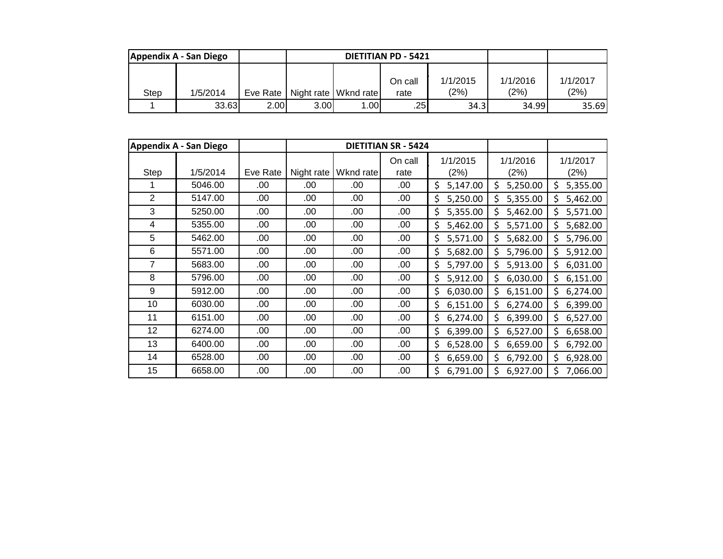| Appendix A - San Diego |          |            |      | <b>DIETITIAN PD - 5421</b> |                 |                  |                  |                  |
|------------------------|----------|------------|------|----------------------------|-----------------|------------------|------------------|------------------|
| Step                   | 1/5/2014 | Eve Rate I |      | Night rate   Wknd rate     | On call<br>rate | 1/1/2015<br>(2%) | 1/1/2016<br>(2%) | 1/1/2017<br>(2%) |
|                        | 33.63    | 2.00       | 3.00 | 1.00l                      | .25             | 34.3             | 34.99            | 35.69            |

|      | <b>Appendix A - San Diego</b> |          |            |           | <b>DIETITIAN SR - 5424</b> |                  |                  |                  |
|------|-------------------------------|----------|------------|-----------|----------------------------|------------------|------------------|------------------|
| Step | 1/5/2014                      | Eve Rate | Night rate | Wknd rate | On call<br>rate            | 1/1/2015<br>(2%) | 1/1/2016<br>(2%) | 1/1/2017<br>(2%) |
|      | 5046.00                       | .00      | .00        | .00       | .00                        | \$<br>5,147.00   | 5,250.00<br>\$   | \$<br>5,355.00   |
| 2    | 5147.00                       | .00      | .00        | .00       | .00                        | \$<br>5,250.00   | Ś<br>5,355.00    | \$<br>5,462.00   |
| 3    | 5250.00                       | .00      | .00        | .00       | .00                        | \$<br>5,355.00   | \$<br>5,462.00   | \$<br>5,571.00   |
| 4    | 5355.00                       | .00      | .00        | .00       | .00                        | \$<br>5,462.00   | \$<br>5,571.00   | \$<br>5,682.00   |
| 5    | 5462.00                       | .00      | .00        | .00       | .00                        | \$<br>5,571.00   | \$<br>5,682.00   | \$<br>5,796.00   |
| 6    | 5571.00                       | .00      | .00        | .00       | .00                        | 5,682.00<br>\$   | \$<br>5,796.00   | \$<br>5,912.00   |
| 7    | 5683.00                       | .00      | .00        | .00       | .00                        | \$<br>5,797.00   | Ś<br>5,913.00    | \$<br>6,031.00   |
| 8    | 5796.00                       | .00      | .00        | .00       | .00                        | \$<br>5,912.00   | \$<br>6,030.00   | \$<br>6,151.00   |
| 9    | 5912.00                       | .00      | .00        | .00       | .00                        | \$<br>6,030.00   | \$<br>6,151.00   | \$<br>6,274.00   |
| 10   | 6030.00                       | .00      | .00        | .00       | .00                        | \$<br>6,151.00   | \$<br>6,274.00   | \$<br>6,399.00   |
| 11   | 6151.00                       | .00      | .00        | .00       | .00                        | \$<br>6,274.00   | \$<br>6,399.00   | \$<br>6,527.00   |
| 12   | 6274.00                       | .00      | .00        | .00       | .00                        | \$<br>6,399.00   | \$<br>6,527.00   | \$<br>6,658.00   |
| 13   | 6400.00                       | .00      | .00        | .00       | .00                        | \$<br>6,528.00   | \$<br>6,659.00   | \$<br>6,792.00   |
| 14   | 6528.00                       | .00      | .00        | .00       | .00                        | \$<br>6,659.00   | \$<br>6,792.00   | \$<br>6,928.00   |
| 15   | 6658.00                       | .00      | .00        | .00       | .00.                       | \$<br>6,791.00   | Ś<br>6,927.00    | \$<br>7,066.00   |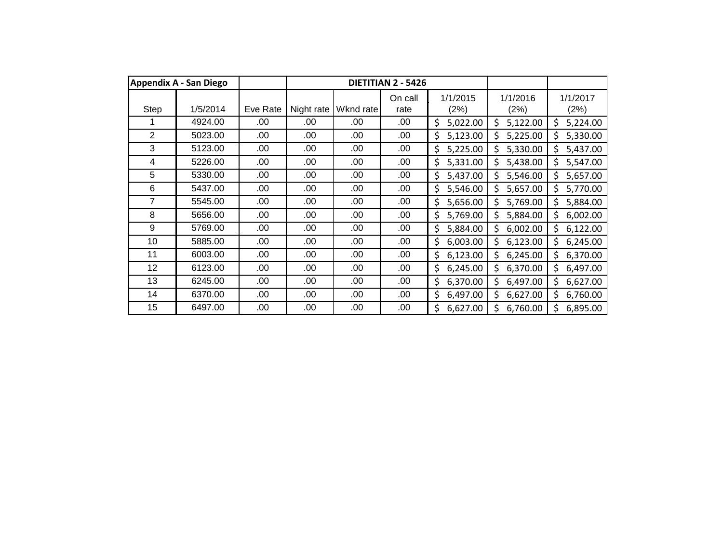|                | Appendix A - San Diego |          |            |           | DIETITIAN 2 - 5426 |                  |                  |                  |
|----------------|------------------------|----------|------------|-----------|--------------------|------------------|------------------|------------------|
| Step           | 1/5/2014               | Eve Rate | Night rate | Wknd rate | On call<br>rate    | 1/1/2015<br>(2%) | 1/1/2016<br>(2%) | 1/1/2017<br>(2%) |
|                | 4924.00                | .00      | .00        | .00       | .00                | \$<br>5,022.00   | \$<br>5,122.00   | \$<br>5,224.00   |
| $\overline{2}$ | 5023.00                | .00      | .00        | .00       | .00                | \$<br>5,123.00   | Ś<br>5,225.00    | 5,330.00<br>Ś.   |
| 3              | 5123.00                | .00      | .00        | .00       | .00                | \$<br>5,225.00   | Ś<br>5,330.00    | Ś.<br>5,437.00   |
| 4              | 5226.00                | .00      | .00        | .00       | .00                | 5,331.00<br>\$   | Ś<br>5,438.00    | Ś.<br>5,547.00   |
| 5              | 5330.00                | .00      | .00        | .00       | .00                | \$<br>5,437.00   | Ś<br>5,546.00    | \$.<br>5,657.00  |
| 6              | 5437.00                | .00      | .00        | .00       | .00                | \$<br>5,546.00   | \$<br>5,657.00   | \$<br>5,770.00   |
| 7              | 5545.00                | .00      | .00        | .00       | .00                | \$<br>5,656.00   | \$<br>5,769.00   | Ś<br>5,884.00    |
| 8              | 5656.00                | .00      | .00        | .00.      | .00                | \$<br>5,769.00   | \$<br>5,884.00   | 6,002.00<br>\$   |
| 9              | 5769.00                | .00      | .00        | .00.      | .00                | \$<br>5,884.00   | \$<br>6,002.00   | 6,122.00<br>\$   |
| 10             | 5885.00                | .00      | .00        | .00.      | .00                | \$<br>6,003.00   | Ś<br>6,123.00    | \$.<br>6,245.00  |
| 11             | 6003.00                | .00      | .00        | .00       | .00                | \$<br>6,123.00   | Ś<br>6,245.00    | Ś.<br>6,370.00   |
| 12             | 6123.00                | .00      | .00        | .00       | .00.               | \$<br>6,245.00   | \$<br>6,370.00   | \$<br>6,497.00   |
| 13             | 6245.00                | .00      | .00        | .00       | .00                | \$<br>6,370.00   | \$<br>6,497.00   | Ś.<br>6,627.00   |
| 14             | 6370.00                | .00      | .00        | .00       | .00                | \$<br>6,497.00   | \$<br>6,627.00   | \$.<br>6,760.00  |
| 15             | 6497.00                | .00      | .00        | .00       | .00                | \$<br>6,627.00   | \$<br>6,760.00   | Ś.<br>6,895.00   |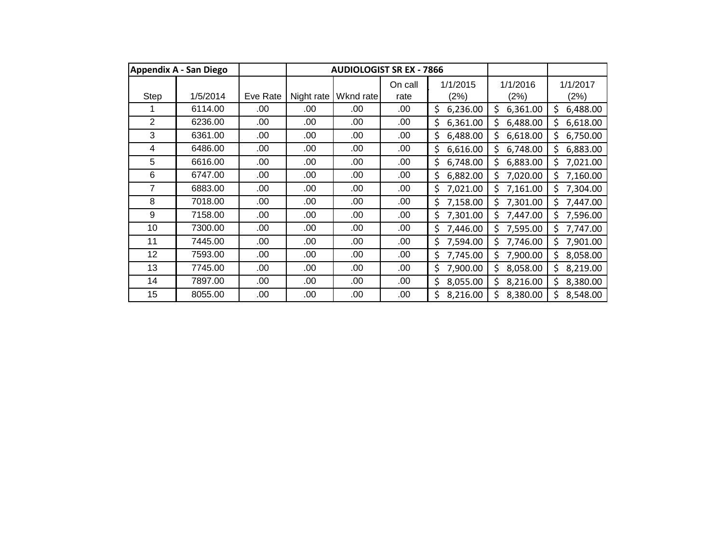|                | <b>Appendix A - San Diego</b> |          |            | <b>AUDIOLOGIST SR EX - 7866</b> |                 |                  |                  |                  |
|----------------|-------------------------------|----------|------------|---------------------------------|-----------------|------------------|------------------|------------------|
| Step           | 1/5/2014                      | Eve Rate | Night rate | Wknd rate                       | On call<br>rate | 1/1/2015<br>(2%) | 1/1/2016<br>(2%) | 1/1/2017<br>(2%) |
|                | 6114.00                       | .00      | .00        | .00                             | .00             | \$<br>6,236.00   | \$<br>6,361.00   | \$<br>6,488.00   |
| $\overline{2}$ | 6236.00                       | .00      | .00        | .00                             | .00             | \$<br>6,361.00   | Ś<br>6,488.00    | 6,618.00<br>Ś    |
| 3              | 6361.00                       | .00      | .00        | .00                             | .00             | \$<br>6,488.00   | \$<br>6,618.00   | Ś.<br>6,750.00   |
| 4              | 6486.00                       | .00      | .00        | .00                             | .00             | \$<br>6,616.00   | Ś<br>6,748.00    | Ś.<br>6,883.00   |
| 5              | 6616.00                       | .00      | .00        | .00                             | .00             | \$<br>6,748.00   | Ś<br>6,883.00    | \$<br>7,021.00   |
| 6              | 6747.00                       | .00      | .00        | .00                             | .00             | \$<br>6,882.00   | \$<br>7,020.00   | \$<br>7,160.00   |
| 7              | 6883.00                       | .00      | .00        | .00                             | .00             | \$<br>7,021.00   | Ś<br>7,161.00    | 7,304.00<br>Ś    |
| 8              | 7018.00                       | .00      | .00        | .00                             | .00             | \$<br>7,158.00   | 7,301.00<br>\$   | 7,447.00<br>Ś    |
| 9              | 7158.00                       | .00      | .00.       | .00                             | .00             | \$<br>7,301.00   | \$<br>7,447.00   | 7,596.00<br>Ś    |
| 10             | 7300.00                       | .00      | .00        | .00                             | .00             | \$<br>7,446.00   | 7,595.00<br>Ś    | 7,747.00<br>\$   |
| 11             | 7445.00                       | .00      | .00        | .00                             | .00.            | 7,594.00<br>\$   | Ś<br>7,746.00    | Ś<br>7,901.00    |
| 12             | 7593.00                       | .00      | .00        | .00                             | .00             | \$<br>7,745.00   | \$<br>7,900.00   | \$<br>8,058.00   |
| 13             | 7745.00                       | .00      | .00        | .00                             | .00             | \$<br>7,900.00   | \$<br>8,058.00   | \$<br>8,219.00   |
| 14             | 7897.00                       | .00      | .00        | .00                             | .00             | \$<br>8,055.00   | \$<br>8,216.00   | \$<br>8,380.00   |
| 15             | 8055.00                       | .00      | .00        | .00                             | .00             | \$<br>8,216.00   | 8,380.00<br>Ś    | 8,548.00         |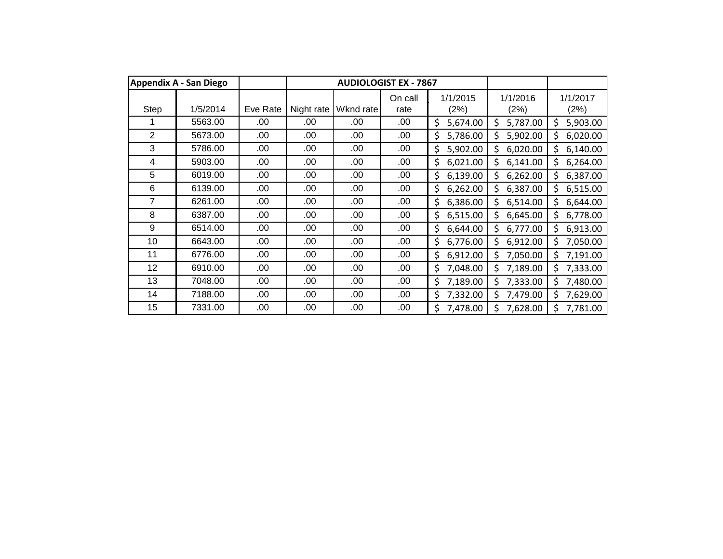|                | Appendix A - San Diego |          |            |           | <b>AUDIOLOGIST EX - 7867</b> |                  |                  |                  |
|----------------|------------------------|----------|------------|-----------|------------------------------|------------------|------------------|------------------|
| Step           | 1/5/2014               | Eve Rate | Night rate | Wknd rate | On call<br>rate              | 1/1/2015<br>(2%) | 1/1/2016<br>(2%) | 1/1/2017<br>(2%) |
|                | 5563.00                | .00      | .00        | .00       | .00                          | \$<br>5,674.00   | \$<br>5,787.00   | \$<br>5,903.00   |
| $\overline{2}$ | 5673.00                | .00      | .00        | .00       | .00                          | \$<br>5,786.00   | \$<br>5,902.00   | 6,020.00<br>Ś.   |
| 3              | 5786.00                | .00      | .00        | .00       | .00                          | \$<br>5,902.00   | Ś<br>6,020.00    | Ś.<br>6,140.00   |
| 4              | 5903.00                | .00      | .00        | .00       | .00                          | 6,021.00<br>\$   | Ś<br>6,141.00    | Ś.<br>6,264.00   |
| 5              | 6019.00                | .00      | .00        | .00       | .00                          | \$<br>6,139.00   | \$<br>6,262.00   | \$<br>6,387.00   |
| 6              | 6139.00                | .00      | .00        | .00       | .00                          | \$<br>6,262.00   | \$<br>6,387.00   | \$<br>6,515.00   |
| 7              | 6261.00                | .00      | .00        | .00       | .00                          | \$<br>6,386.00   | \$<br>6,514.00   | Ś.<br>6,644.00   |
| 8              | 6387.00                | .00      | .00        | .00.      | .00                          | 6,515.00<br>\$   | \$<br>6,645.00   | 6,778.00<br>\$   |
| 9              | 6514.00                | .00      | .00        | .00       | .00                          | 6,644.00<br>\$   | \$<br>6,777.00   | 6,913.00<br>\$   |
| 10             | 6643.00                | .00      | .00        | .00.      | .00                          | \$<br>6,776.00   | Ś<br>6,912.00    | 7,050.00<br>Ś.   |
| 11             | 6776.00                | .00      | .00        | .00       | .00                          | \$<br>6,912.00   | Ś<br>7,050.00    | Ś.<br>7,191.00   |
| 12             | 6910.00                | .00      | .00        | .00       | .00.                         | \$<br>7,048.00   | \$<br>7,189.00   | \$.<br>7,333.00  |
| 13             | 7048.00                | .00      | .00        | .00       | .00                          | \$<br>7,189.00   | \$<br>7,333.00   | \$.<br>7,480.00  |
| 14             | 7188.00                | .00      | .00        | .00       | .00                          | \$<br>7,332.00   | \$<br>7,479.00   | \$.<br>7,629.00  |
| 15             | 7331.00                | .00      | .00        | .00       | .00                          | \$<br>7,478.00   | Ś<br>7,628.00    | \$<br>7,781.00   |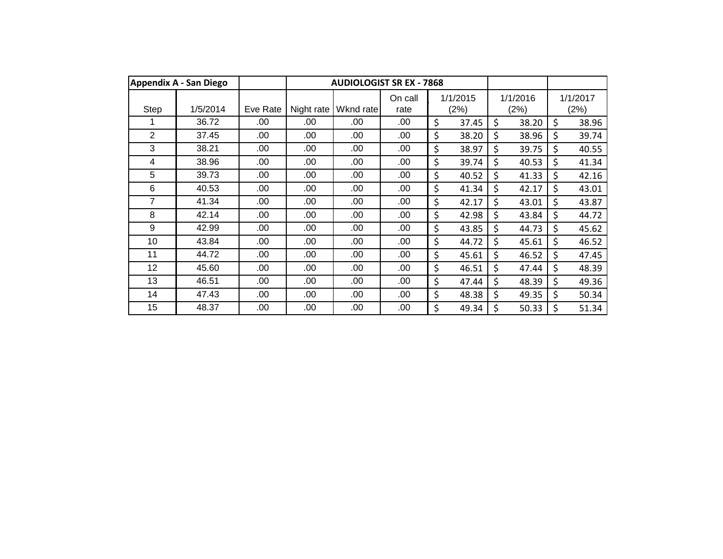|             | <b>Appendix A - San Diego</b> |          |            | <b>AUDIOLOGIST SR EX - 7868</b> |                 |                  |                  |                  |
|-------------|-------------------------------|----------|------------|---------------------------------|-----------------|------------------|------------------|------------------|
| <b>Step</b> | 1/5/2014                      | Eve Rate | Night rate | Wknd rate                       | On call<br>rate | 1/1/2015<br>(2%) | 1/1/2016<br>(2%) | 1/1/2017<br>(2%) |
|             | 36.72                         | .00      | .00        | .00                             | .00             | \$<br>37.45      | \$<br>38.20      | \$<br>38.96      |
| 2           | 37.45                         | .00      | .00        | .00                             | .00             | \$<br>38.20      | \$<br>38.96      | \$<br>39.74      |
| 3           | 38.21                         | .00      | .00        | .00                             | .00             | \$<br>38.97      | \$<br>39.75      | \$<br>40.55      |
| 4           | 38.96                         | .00      | .00        | .00                             | .00             | \$<br>39.74      | \$<br>40.53      | \$<br>41.34      |
| 5           | 39.73                         | .00      | .00        | .00                             | .00             | \$<br>40.52      | \$<br>41.33      | \$<br>42.16      |
| 6           | 40.53                         | .00      | .00        | .00                             | .00             | \$<br>41.34      | \$<br>42.17      | \$<br>43.01      |
| 7           | 41.34                         | .00      | .00        | .00                             | .00             | \$<br>42.17      | \$<br>43.01      | \$<br>43.87      |
| 8           | 42.14                         | .00      | .00        | .00                             | .00             | \$<br>42.98      | \$<br>43.84      | \$<br>44.72      |
| 9           | 42.99                         | .00      | .00        | .00                             | .00             | \$<br>43.85      | \$<br>44.73      | \$<br>45.62      |
| 10          | 43.84                         | .00      | .00        | .00                             | .00             | \$<br>44.72      | \$<br>45.61      | \$<br>46.52      |
| 11          | 44.72                         | .00      | .00        | .00                             | .00             | \$<br>45.61      | \$<br>46.52      | \$<br>47.45      |
| 12          | 45.60                         | .00      | .00        | .00                             | .00             | \$<br>46.51      | \$<br>47.44      | \$<br>48.39      |
| 13          | 46.51                         | .00      | .00        | .00                             | .00             | \$<br>47.44      | \$<br>48.39      | \$<br>49.36      |
| 14          | 47.43                         | .00      | .00        | .00                             | .00             | \$<br>48.38      | \$<br>49.35      | \$<br>50.34      |
| 15          | 48.37                         | .00      | .00        | .00                             | .00             | \$<br>49.34      | \$<br>50.33      | \$<br>51.34      |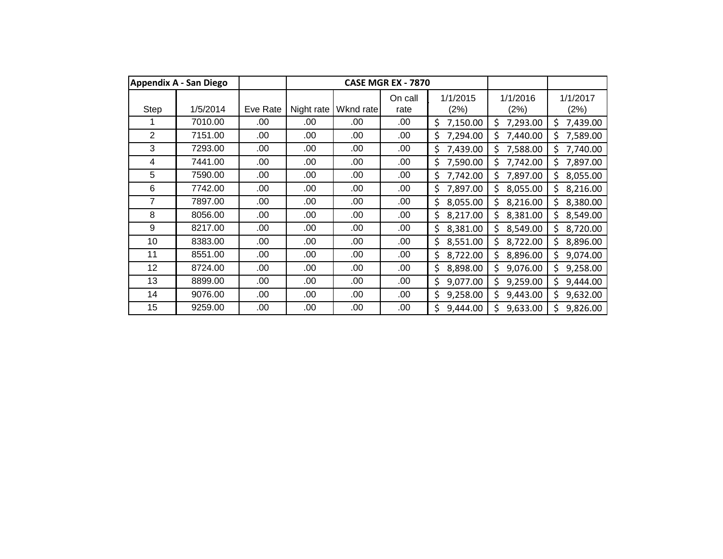|                | Appendix A - San Diego |          |            |           | CASE MGR EX - 7870 |                  |                  |                  |
|----------------|------------------------|----------|------------|-----------|--------------------|------------------|------------------|------------------|
| Step           | 1/5/2014               | Eve Rate | Night rate | Wknd rate | On call<br>rate    | 1/1/2015<br>(2%) | 1/1/2016<br>(2%) | 1/1/2017<br>(2%) |
|                | 7010.00                | .00      | .00        | .00       | .00                | \$<br>7,150.00   | \$<br>7,293.00   | \$<br>7,439.00   |
| $\overline{2}$ | 7151.00                | .00      | .00        | .00       | .00                | \$<br>7,294.00   | Ś<br>7,440.00    | 7,589.00<br>Ś    |
| 3              | 7293.00                | .00      | .00        | .00       | .00                | \$<br>7,439.00   | Ś<br>7,588.00    | \$<br>7,740.00   |
| 4              | 7441.00                | .00      | .00        | .00       | .00                | 7,590.00<br>\$   | Ś<br>7,742.00    | Ś<br>7,897.00    |
| 5              | 7590.00                | .00      | .00        | .00       | .00                | \$<br>7,742.00   | Ś<br>7,897.00    | 8,055.00<br>\$.  |
| 6              | 7742.00                | .00      | .00        | .00       | .00                | \$<br>7,897.00   | \$<br>8,055.00   | 8,216.00<br>\$   |
| 7              | 7897.00                | .00      | .00        | .00       | .00                | \$<br>8,055.00   | \$<br>8,216.00   | \$<br>8,380.00   |
| 8              | 8056.00                | .00      | .00        | .00       | .00                | \$<br>8,217.00   | \$<br>8,381.00   | 8,549.00<br>Ś    |
| 9              | 8217.00                | .00      | .00        | .00       | .00                | \$<br>8,381.00   | \$<br>8,549.00   | 8,720.00<br>\$   |
| 10             | 8383.00                | .00      | .00        | .00       | .00                | \$<br>8,551.00   | \$<br>8,722.00   | 8,896.00<br>\$   |
| 11             | 8551.00                | .00      | .00        | .00       | .00                | \$<br>8,722.00   | \$<br>8,896.00   | \$<br>9,074.00   |
| 12             | 8724.00                | .00      | .00        | .00       | .00                | \$<br>8,898.00   | \$<br>9,076.00   | Ŝ.<br>9,258.00   |
| 13             | 8899.00                | .00      | .00        | .00       | .00                | \$<br>9,077.00   | \$<br>9,259.00   | Ś<br>9,444.00    |
| 14             | 9076.00                | .00      | .00        | .00       | .00                | \$<br>9,258.00   | \$<br>9,443.00   | \$<br>9,632.00   |
| 15             | 9259.00                | .00      | .00        | .00       | .00                | \$<br>9,444.00   | Ś<br>9,633.00    | \$<br>9,826.00   |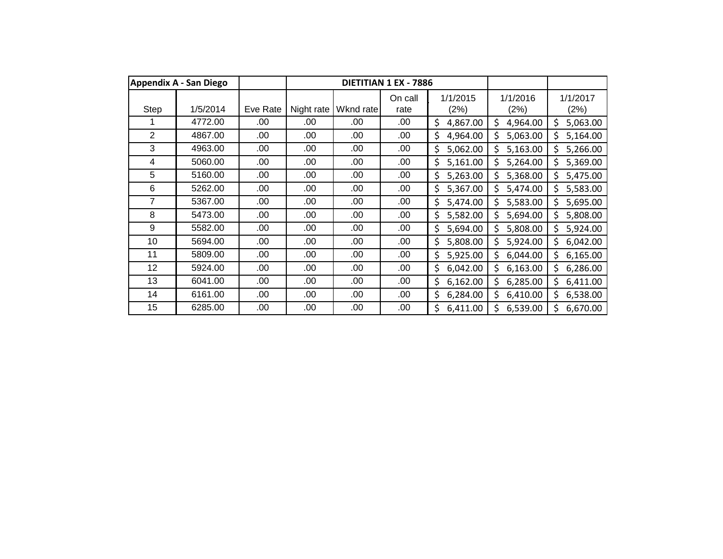|             | <b>Appendix A - San Diego</b> |          |            |           | DIETITIAN 1 EX - 7886 |                  |                  |                  |
|-------------|-------------------------------|----------|------------|-----------|-----------------------|------------------|------------------|------------------|
| <b>Step</b> | 1/5/2014                      | Eve Rate | Night rate | Wknd rate | On call<br>rate       | 1/1/2015<br>(2%) | 1/1/2016<br>(2%) | 1/1/2017<br>(2%) |
|             | 4772.00                       | .00      | .00        | .00       | .00                   | \$<br>4,867.00   | \$<br>4,964.00   | \$<br>5,063.00   |
| 2           | 4867.00                       |          |            |           |                       |                  |                  |                  |
|             |                               | .00      | .00        | .00       | .00                   | \$<br>4,964.00   | \$<br>5,063.00   | 5,164.00<br>Ś.   |
| 3           | 4963.00                       | .00      | .00        | .00       | .00.                  | \$<br>5,062.00   | \$<br>5,163.00   | Ś.<br>5,266.00   |
| 4           | 5060.00                       | .00      | .00        | .00       | .00                   | 5,161.00<br>\$   | Ś<br>5,264.00    | Ś.<br>5,369.00   |
| 5           | 5160.00                       | .00      | .00        | .00       | .00                   | \$<br>5,263.00   | \$<br>5,368.00   | \$.<br>5,475.00  |
| 6           | 5262.00                       | .00      | .00        | .00       | .00                   | \$<br>5,367.00   | \$<br>5,474.00   | \$<br>5,583.00   |
| 7           | 5367.00                       | .00      | .00        | .00       | .00                   | \$<br>5,474.00   | \$<br>5,583.00   | \$<br>5,695.00   |
| 8           | 5473.00                       | .00      | .00        | .00       | .00                   | 5,582.00<br>\$   | \$<br>5,694.00   | 5,808.00         |
| 9           | 5582.00                       | .00      | .00        | .00       | .00                   | 5,694.00<br>\$   | \$<br>5,808.00   | 5,924.00<br>\$   |
| 10          | 5694.00                       | .00      | .00        | .00       | .00                   | \$<br>5,808.00   | Ś<br>5,924.00    | 6,042.00<br>\$   |
| 11          | 5809.00                       | .00      | .00        | .00       | .00                   | \$<br>5,925.00   | Ś<br>6,044.00    | \$.<br>6,165.00  |
| 12          | 5924.00                       | .00      | .00        | .00       | .00                   | \$<br>6,042.00   | \$<br>6,163.00   | \$.<br>6,286.00  |
| 13          | 6041.00                       | .00      | .00        | .00       | .00                   | \$<br>6,162.00   | \$<br>6,285.00   | \$<br>6,411.00   |
| 14          | 6161.00                       | .00      | .00        | .00       | .00                   | \$<br>6,284.00   | \$<br>6,410.00   | \$<br>6,538.00   |
| 15          | 6285.00                       | .00      | .00        | .00       | .00                   | \$<br>6,411.00   | Ś<br>6,539.00    | Ś.<br>6,670.00   |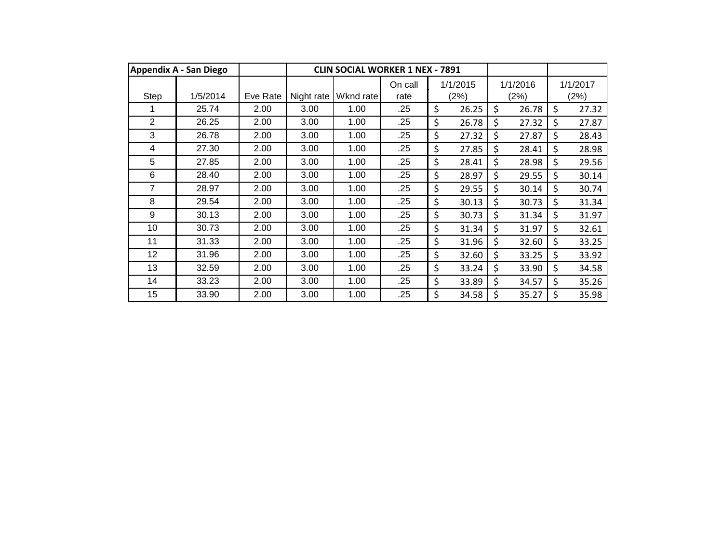|                | <b>Appendix A - San Diego</b> |          |            | <b>CLIN SOCIAL WORKER 1 NEX - 7891</b> |                 |                  |                  |                  |
|----------------|-------------------------------|----------|------------|----------------------------------------|-----------------|------------------|------------------|------------------|
| Step           | 1/5/2014                      | Eve Rate | Night rate | Wknd rate                              | On call<br>rate | 1/1/2015<br>(2%) | 1/1/2016<br>(2%) | 1/1/2017<br>(2%) |
|                | 25.74                         | 2.00     | 3.00       | 1.00                                   | .25             | \$<br>26.25      | \$<br>26.78      | \$<br>27.32      |
| $\overline{2}$ | 26.25                         | 2.00     | 3.00       | 1.00                                   | .25             | \$<br>26.78      | \$<br>27.32      | \$<br>27.87      |
| 3              | 26.78                         | 2.00     | 3.00       | 1.00                                   | .25             | \$<br>27.32      | \$<br>27.87      | \$<br>28.43      |
| 4              | 27.30                         | 2.00     | 3.00       | 1.00                                   | .25             | \$<br>27.85      | \$<br>28.41      | \$<br>28.98      |
| 5              | 27.85                         | 2.00     | 3.00       | 1.00                                   | .25             | \$<br>28.41      | \$<br>28.98      | \$<br>29.56      |
| 6              | 28.40                         | 2.00     | 3.00       | 1.00                                   | .25             | \$<br>28.97      | \$<br>29.55      | \$<br>30.14      |
| 7              | 28.97                         | 2.00     | 3.00       | 1.00                                   | .25             | \$<br>29.55      | \$<br>30.14      | \$<br>30.74      |
| 8              | 29.54                         | 2.00     | 3.00       | 1.00                                   | .25             | \$<br>30.13      | \$<br>30.73      | \$<br>31.34      |
| 9              | 30.13                         | 2.00     | 3.00       | 1.00                                   | .25             | \$<br>30.73      | \$<br>31.34      | \$<br>31.97      |
| 10             | 30.73                         | 2.00     | 3.00       | 1.00                                   | .25             | \$<br>31.34      | \$<br>31.97      | \$<br>32.61      |
| 11             | 31.33                         | 2.00     | 3.00       | 1.00                                   | .25             | \$<br>31.96      | \$<br>32.60      | \$<br>33.25      |
| 12             | 31.96                         | 2.00     | 3.00       | 1.00                                   | .25             | \$<br>32.60      | \$<br>33.25      | \$<br>33.92      |
| 13             | 32.59                         | 2.00     | 3.00       | 1.00                                   | .25             | \$<br>33.24      | \$<br>33.90      | \$<br>34.58      |
| 14             | 33.23                         | 2.00     | 3.00       | 1.00                                   | .25             | \$<br>33.89      | \$<br>34.57      | \$<br>35.26      |
| 15             | 33.90                         | 2.00     | 3.00       | 1.00                                   | .25             | \$<br>34.58      | \$<br>35.27      | \$<br>35.98      |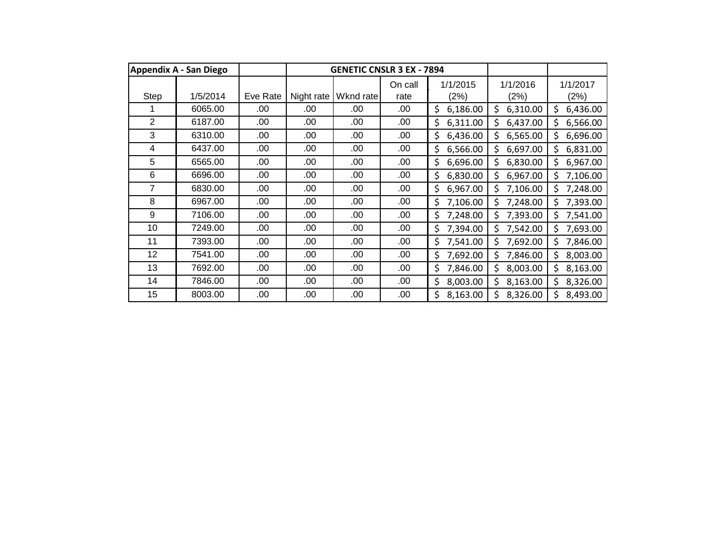|      | <b>Appendix A - San Diego</b> |          |            | <b>GENETIC CNSLR 3 EX - 7894</b> |                 |                  |                  |                  |
|------|-------------------------------|----------|------------|----------------------------------|-----------------|------------------|------------------|------------------|
| Step | 1/5/2014                      | Eve Rate | Night rate | Wknd rate                        | On call<br>rate | 1/1/2015<br>(2%) | 1/1/2016<br>(2%) | 1/1/2017<br>(2%) |
|      | 6065.00                       | .00      | .00        | .00                              | .00             | \$<br>6,186.00   | \$<br>6,310.00   | \$.<br>6,436.00  |
| 2    | 6187.00                       | .00      | .00        | .00                              | .00             | \$<br>6,311.00   | Ś<br>6,437.00    | 6,566.00<br>Ś.   |
| 3    | 6310.00                       | .00      | .00        | .00                              | .00             | \$<br>6,436.00   | Ś<br>6,565.00    | \$.<br>6,696.00  |
| 4    | 6437.00                       | .00      | .00        | .00                              | .00             | \$<br>6,566.00   | \$<br>6,697.00   | Ś.<br>6,831.00   |
| 5    | 6565.00                       | .00      | .00        | .00                              | .00             | \$<br>6,696.00   | Ś<br>6,830.00    | \$<br>6,967.00   |
| 6    | 6696.00                       | .00      | .00        | .00                              | .00             | \$<br>6,830.00   | \$<br>6,967.00   | \$.<br>7,106.00  |
| 7    | 6830.00                       | .00      | .00        | .00                              | .00             | \$<br>6,967.00   | Ś<br>7,106.00    | 7,248.00<br>Ś    |
| 8    | 6967.00                       | .00      | .00        | .00                              | .00             | \$<br>7,106.00   | Ś<br>7,248.00    | 7,393.00<br>\$   |
| 9    | 7106.00                       | .00      | .00.       | .00                              | .00             | \$<br>7,248.00   | 7,393.00<br>\$   | 7,541.00<br>\$   |
| 10   | 7249.00                       | .00      | .00        | .00                              | .00             | \$<br>7,394.00   | Ś<br>7,542.00    | 7,693.00<br>Ś    |
| 11   | 7393.00                       | .00      | .00        | .00                              | .00.            | \$<br>7,541.00   | Ś<br>7,692.00    | 7,846.00<br>Ś    |
| 12   | 7541.00                       | .00      | .00        | .00                              | .00             | \$<br>7,692.00   | \$<br>7,846.00   | \$<br>8,003.00   |
| 13   | 7692.00                       | .00      | .00        | .00                              | .00             | \$<br>7,846.00   | \$<br>8,003.00   | \$<br>8,163.00   |
| 14   | 7846.00                       | .00      | .00        | .00                              | .00             | \$<br>8,003.00   | \$<br>8,163.00   | Ś.<br>8,326.00   |
| 15   | 8003.00                       | .00      | .00        | .00                              | .00             | \$<br>8,163.00   | 8,326.00<br>Ś    | 8,493.00         |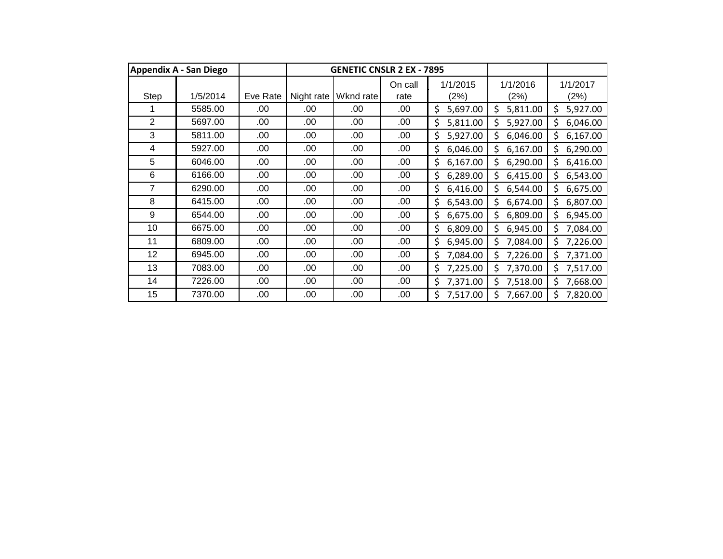|                | <b>Appendix A - San Diego</b> |          |            | <b>GENETIC CNSLR 2 EX - 7895</b> |                 |                  |                  |                  |
|----------------|-------------------------------|----------|------------|----------------------------------|-----------------|------------------|------------------|------------------|
| <b>Step</b>    | 1/5/2014                      | Eve Rate | Night rate | Wknd rate                        | On call<br>rate | 1/1/2015<br>(2%) | 1/1/2016<br>(2%) | 1/1/2017<br>(2%) |
|                | 5585.00                       | .00      | .00        | .00                              | .00             | \$<br>5,697.00   | \$<br>5,811.00   | \$.<br>5,927.00  |
| $\overline{2}$ | 5697.00                       | .00      | .00        | .00                              | .00             | \$<br>5,811.00   | \$<br>5,927.00   | 6,046.00<br>\$.  |
| 3              | 5811.00                       | .00      | .00        | .00                              | .00             | \$<br>5,927.00   | Ś<br>6,046.00    | \$<br>6,167.00   |
| 4              | 5927.00                       | .00      | .00        | .00                              | .00             | \$<br>6,046.00   | \$<br>6,167.00   | \$<br>6,290.00   |
| 5              | 6046.00                       | .00      | .00        | .00                              | .00             | \$<br>6,167.00   | \$<br>6,290.00   | \$<br>6,416.00   |
| 6              | 6166.00                       | .00      | .00        | .00                              | .00             | 6,289.00<br>\$   | \$<br>6,415.00   | \$.<br>6,543.00  |
| 7              | 6290.00                       | .00      | .00        | .00                              | .00             | \$<br>6,416.00   | \$<br>6,544.00   | 6,675.00<br>\$.  |
| 8              | 6415.00                       | .00      | .00        | .00                              | .00             | 6,543.00<br>\$   | \$<br>6,674.00   | 6,807.00<br>\$.  |
| 9              | 6544.00                       | .00      | .00        | .00                              | .00.            | \$<br>6,675.00   | Ś<br>6,809.00    | \$.<br>6,945.00  |
| 10             | 6675.00                       | .00      | .00        | .00                              | .00.            | \$<br>6,809.00   | Ś<br>6,945.00    | \$<br>7,084.00   |
| 11             | 6809.00                       | .00      | .00        | .00                              | .00             | 6,945.00<br>\$   | Ś<br>7,084.00    | \$.<br>7,226.00  |
| 12             | 6945.00                       | .00      | .00        | .00                              | .00             | \$<br>7,084.00   | \$<br>7,226.00   | \$.<br>7,371.00  |
| 13             | 7083.00                       | .00      | .00        | .00                              | .00             | \$<br>7,225.00   | \$<br>7,370.00   | \$<br>7,517.00   |
| 14             | 7226.00                       | .00      | .00        | .00                              | .00             | \$<br>7,371.00   | \$<br>7,518.00   | \$<br>7,668.00   |
| 15             | 7370.00                       | .00      | .00        | .00                              | .00             | \$<br>7,517.00   | 7,667.00<br>Ś    | 7,820.00         |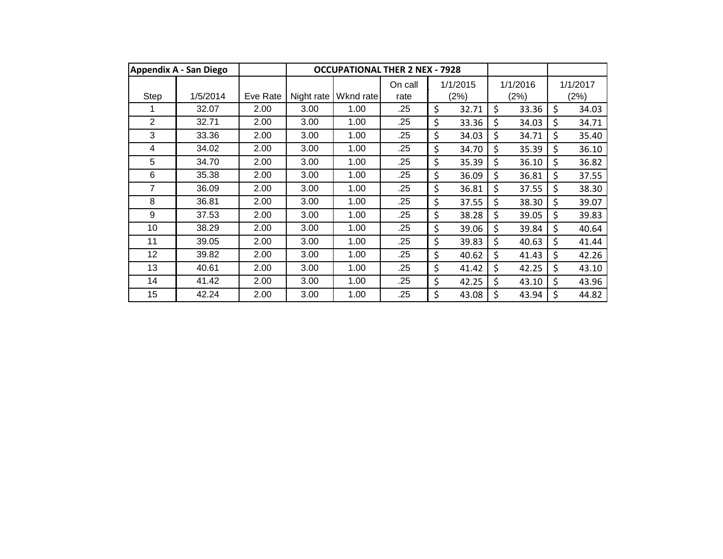|                | <b>Appendix A - San Diego</b> |          |            | <b>OCCUPATIONAL THER 2 NEX - 7928</b> |                 |                  |                  |    |                  |
|----------------|-------------------------------|----------|------------|---------------------------------------|-----------------|------------------|------------------|----|------------------|
| Step           | 1/5/2014                      | Eve Rate | Night rate | Wknd rate                             | On call<br>rate | 1/1/2015<br>(2%) | 1/1/2016<br>(2%) |    | 1/1/2017<br>(2%) |
|                | 32.07                         | 2.00     | 3.00       | 1.00                                  | .25             | \$<br>32.71      | \$<br>33.36      | \$ | 34.03            |
| $\overline{2}$ | 32.71                         | 2.00     | 3.00       | 1.00                                  | .25             | \$<br>33.36      | \$<br>34.03      | \$ | 34.71            |
| 3              | 33.36                         | 2.00     | 3.00       | 1.00                                  | .25             | \$<br>34.03      | \$<br>34.71      | \$ | 35.40            |
| 4              | 34.02                         | 2.00     | 3.00       | 1.00                                  | .25             | \$<br>34.70      | \$<br>35.39      | \$ | 36.10            |
| 5              | 34.70                         | 2.00     | 3.00       | 1.00                                  | .25             | \$<br>35.39      | \$<br>36.10      | \$ | 36.82            |
| 6              | 35.38                         | 2.00     | 3.00       | 1.00                                  | .25             | \$<br>36.09      | \$<br>36.81      | \$ | 37.55            |
| 7              | 36.09                         | 2.00     | 3.00       | 1.00                                  | .25             | \$<br>36.81      | \$<br>37.55      | \$ | 38.30            |
| 8              | 36.81                         | 2.00     | 3.00       | 1.00                                  | .25             | \$<br>37.55      | \$<br>38.30      | \$ | 39.07            |
| 9              | 37.53                         | 2.00     | 3.00       | 1.00                                  | .25             | \$<br>38.28      | \$<br>39.05      | \$ | 39.83            |
| 10             | 38.29                         | 2.00     | 3.00       | 1.00                                  | .25             | \$<br>39.06      | \$<br>39.84      | \$ | 40.64            |
| 11             | 39.05                         | 2.00     | 3.00       | 1.00                                  | .25             | \$<br>39.83      | \$<br>40.63      | \$ | 41.44            |
| 12             | 39.82                         | 2.00     | 3.00       | 1.00                                  | .25             | \$<br>40.62      | \$<br>41.43      | \$ | 42.26            |
| 13             | 40.61                         | 2.00     | 3.00       | 1.00                                  | .25             | \$<br>41.42      | \$<br>42.25      | \$ | 43.10            |
| 14             | 41.42                         | 2.00     | 3.00       | 1.00                                  | .25             | \$<br>42.25      | \$<br>43.10      | \$ | 43.96            |
| 15             | 42.24                         | 2.00     | 3.00       | 1.00                                  | .25             | \$<br>43.08      | \$<br>43.94      | \$ | 44.82            |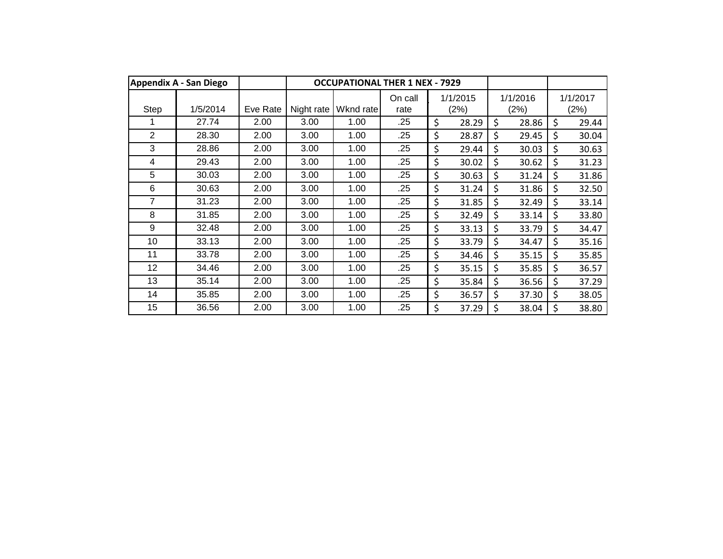|      | <b>Appendix A - San Diego</b> |          |            | <b>OCCUPATIONAL THER 1 NEX - 7929</b> |                 |                  |                  |                  |
|------|-------------------------------|----------|------------|---------------------------------------|-----------------|------------------|------------------|------------------|
| Step | 1/5/2014                      | Eve Rate | Night rate | Wknd rate                             | On call<br>rate | 1/1/2015<br>(2%) | 1/1/2016<br>(2%) | 1/1/2017<br>(2%) |
|      | 27.74                         | 2.00     | 3.00       | 1.00                                  | .25             | \$<br>28.29      | \$<br>28.86      | \$<br>29.44      |
| 2    | 28.30                         | 2.00     | 3.00       | 1.00                                  | .25             | \$<br>28.87      | \$<br>29.45      | \$<br>30.04      |
| 3    | 28.86                         | 2.00     | 3.00       | 1.00                                  | .25             | \$<br>29.44      | \$<br>30.03      | \$<br>30.63      |
| 4    | 29.43                         | 2.00     | 3.00       | 1.00                                  | .25             | \$<br>30.02      | \$<br>30.62      | \$<br>31.23      |
| 5    | 30.03                         | 2.00     | 3.00       | 1.00                                  | .25             | \$<br>30.63      | \$<br>31.24      | \$<br>31.86      |
| 6    | 30.63                         | 2.00     | 3.00       | 1.00                                  | .25             | \$<br>31.24      | \$<br>31.86      | \$<br>32.50      |
| 7    | 31.23                         | 2.00     | 3.00       | 1.00                                  | .25             | \$<br>31.85      | \$<br>32.49      | \$<br>33.14      |
| 8    | 31.85                         | 2.00     | 3.00       | 1.00                                  | .25             | \$<br>32.49      | \$<br>33.14      | \$<br>33.80      |
| 9    | 32.48                         | 2.00     | 3.00       | 1.00                                  | .25             | \$<br>33.13      | \$<br>33.79      | \$<br>34.47      |
| 10   | 33.13                         | 2.00     | 3.00       | 1.00                                  | .25             | \$<br>33.79      | \$<br>34.47      | \$<br>35.16      |
| 11   | 33.78                         | 2.00     | 3.00       | 1.00                                  | .25             | \$<br>34.46      | \$<br>35.15      | \$<br>35.85      |
| 12   | 34.46                         | 2.00     | 3.00       | 1.00                                  | .25             | \$<br>35.15      | \$<br>35.85      | \$<br>36.57      |
| 13   | 35.14                         | 2.00     | 3.00       | 1.00                                  | .25             | \$<br>35.84      | \$<br>36.56      | \$<br>37.29      |
| 14   | 35.85                         | 2.00     | 3.00       | 1.00                                  | .25             | \$<br>36.57      | \$<br>37.30      | \$<br>38.05      |
| 15   | 36.56                         | 2.00     | 3.00       | 1.00                                  | .25             | \$<br>37.29      | \$<br>38.04      | \$<br>38.80      |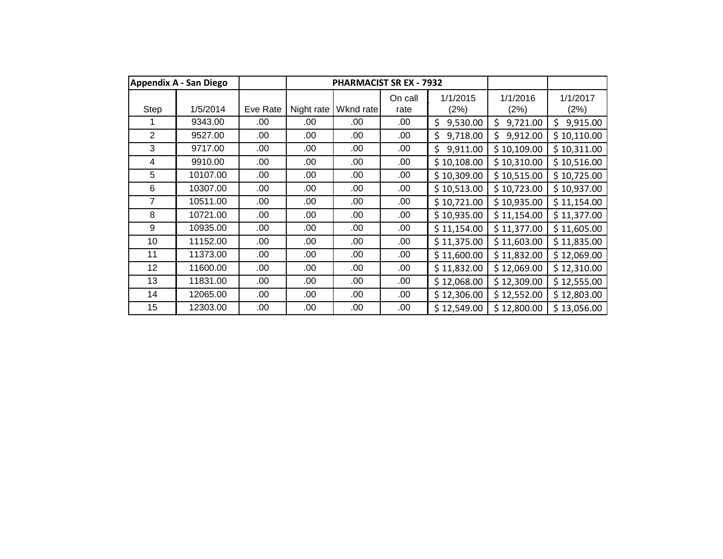|                | Appendix A - San Diego |          |            | <b>PHARMACIST SR EX - 7932</b> |                 |                  |                  |                  |
|----------------|------------------------|----------|------------|--------------------------------|-----------------|------------------|------------------|------------------|
| Step           | 1/5/2014               | Eve Rate | Night rate | Wknd rate                      | On call<br>rate | 1/1/2015<br>(2%) | 1/1/2016<br>(2%) | 1/1/2017<br>(2%) |
|                | 9343.00                | .00      | .00        | .00                            | .00             | \$<br>9,530.00   | \$<br>9,721.00   | \$<br>9,915.00   |
| $\overline{2}$ | 9527.00                | .00      | .00        | .00                            | .00.            | \$<br>9,718.00   | Ś<br>9,912.00    | \$10,110.00      |
| 3              | 9717.00                | .00      | .00        | .00                            | .00.            | \$<br>9,911.00   | \$10,109.00      | \$10,311.00      |
| 4              | 9910.00                | .00      | .00        | .00                            | .00.            | \$10,108.00      | \$10,310.00      | \$10,516.00      |
| 5              | 10107.00               | .00      | .00        | .00                            | .00             | \$10,309.00      | \$10,515.00      | \$10,725.00      |
| 6              | 10307.00               | .00      | .00        | .00                            | .00             | \$10,513.00      | \$10,723.00      | \$10,937.00      |
| $\overline{7}$ | 10511.00               | .00      | .00        | .00                            | .00             | \$10,721.00      | \$10,935.00      | \$11,154.00      |
| 8              | 10721.00               | .00      | .00        | .00                            | .00.            | \$10,935.00      | \$11,154.00      | \$11,377.00      |
| 9              | 10935.00               | .00      | .00        | .00                            | .00             | \$11,154.00      | \$11,377.00      | \$11,605.00      |
| 10             | 11152.00               | .00      | .00.       | .00                            | .00.            | \$11,375.00      | \$11,603.00      | \$11,835.00      |
| 11             | 11373.00               | .00      | .00        | .00                            | .00             | \$11,600.00      | \$11,832.00      | \$12,069.00      |
| 12             | 11600.00               | .00      | .00        | .00                            | .00             | \$11,832.00      | \$12,069.00      | \$12,310.00      |
| 13             | 11831.00               | .00      | .00        | .00                            | .00             | \$12,068.00      | \$12,309.00      | \$12,555.00      |
| 14             | 12065.00               | .00      | .00        | .00                            | .00             | \$12,306.00      | \$12,552.00      | \$12,803.00      |
| 15             | 12303.00               | .00      | .00        | .00                            | .00             | \$12,549.00      | \$12,800.00      | \$13,056.00      |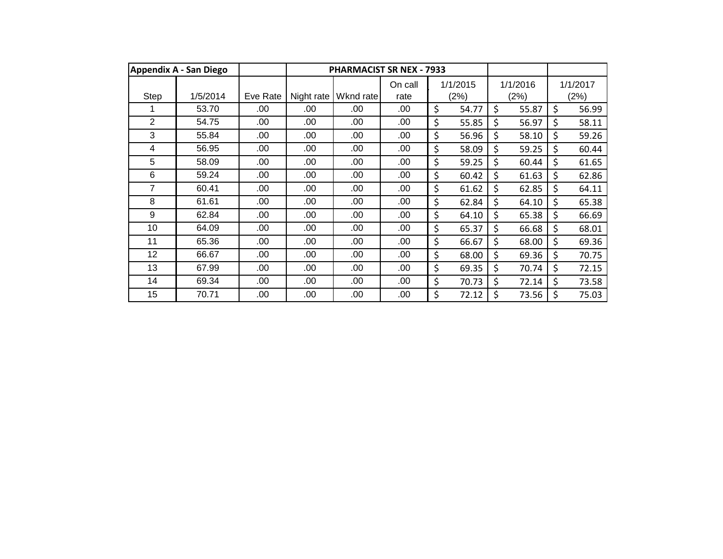|                | <b>Appendix A - San Diego</b> |          |            | <b>PHARMACIST SR NEX - 7933</b> |                 |                  |    |                  |         |                  |
|----------------|-------------------------------|----------|------------|---------------------------------|-----------------|------------------|----|------------------|---------|------------------|
| Step           | 1/5/2014                      | Eve Rate | Night rate | Wknd rate                       | On call<br>rate | 1/1/2015<br>(2%) |    | 1/1/2016<br>(2%) |         | 1/1/2017<br>(2%) |
|                | 53.70                         | .00      | .00        | .00                             | .00             | \$<br>54.77      | \$ | 55.87            | $\zeta$ | 56.99            |
| $\overline{2}$ | 54.75                         | .00      | .00        | .00                             | .00             | \$<br>55.85      | Ś  | 56.97            | \$      | 58.11            |
| 3              | 55.84                         | .00      | .00        | .00                             | .00             | \$<br>56.96      | \$ | 58.10            | $\zeta$ | 59.26            |
| 4              | 56.95                         | .00      | .00        | .00                             | .00             | \$<br>58.09      | \$ | 59.25            | $\zeta$ | 60.44            |
| 5              | 58.09                         | .00      | .00        | .00                             | .00             | \$<br>59.25      | \$ | 60.44            | \$      | 61.65            |
| 6              | 59.24                         | .00      | .00        | .00                             | .00             | \$<br>60.42      | \$ | 61.63            | \$      | 62.86            |
| 7              | 60.41                         | .00      | .00        | .00                             | .00             | \$<br>61.62      | \$ | 62.85            | \$      | 64.11            |
| 8              | 61.61                         | .00      | .00        | .00                             | .00             | \$<br>62.84      | \$ | 64.10            | \$      | 65.38            |
| 9              | 62.84                         | .00      | .00        | .00                             | .00             | \$<br>64.10      | \$ | 65.38            | $\zeta$ | 66.69            |
| 10             | 64.09                         | .00      | .00        | .00                             | .00             | \$<br>65.37      | \$ | 66.68            | \$      | 68.01            |
| 11             | 65.36                         | .00      | .00        | .00                             | .00             | \$<br>66.67      | \$ | 68.00            | \$      | 69.36            |
| 12             | 66.67                         | .00      | .00        | .00                             | .00             | \$<br>68.00      | \$ | 69.36            | \$      | 70.75            |
| 13             | 67.99                         | .00      | .00        | .00                             | .00             | \$<br>69.35      | \$ | 70.74            | \$      | 72.15            |
| 14             | 69.34                         | .00      | .00        | .00                             | .00             | \$<br>70.73      | \$ | 72.14            | \$      | 73.58            |
| 15             | 70.71                         | .00      | .00        | .00                             | .00             | \$<br>72.12      | \$ | 73.56            | \$      | 75.03            |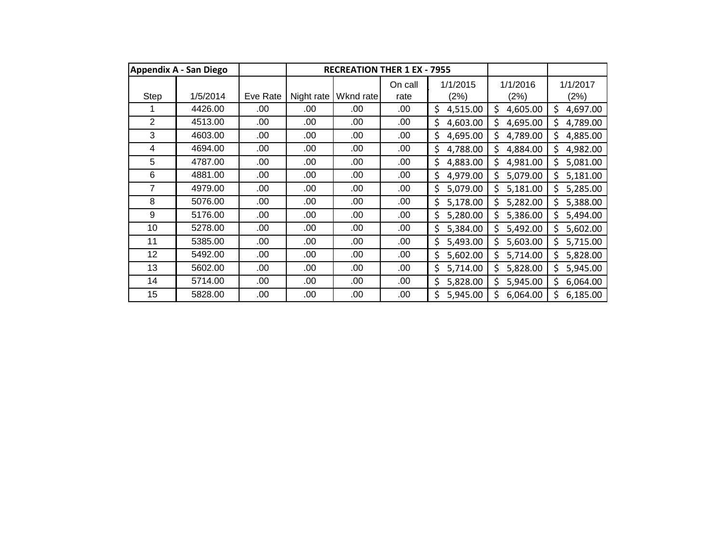|                | <b>Appendix A - San Diego</b> |          |            | <b>RECREATION THER 1 EX - 7955</b> |                 |                  |                  |                  |
|----------------|-------------------------------|----------|------------|------------------------------------|-----------------|------------------|------------------|------------------|
| Step           | 1/5/2014                      | Eve Rate | Night rate | Wknd rate                          | On call<br>rate | 1/1/2015<br>(2%) | 1/1/2016<br>(2%) | 1/1/2017<br>(2%) |
|                | 4426.00                       | .00      | .00        | .00                                | .00             | \$<br>4,515.00   | \$<br>4,605.00   | \$<br>4,697.00   |
| $\overline{2}$ | 4513.00                       | .00      | .00        | .00                                | .00             | \$<br>4,603.00   | \$<br>4,695.00   | 4,789.00<br>\$.  |
| 3              | 4603.00                       | .00      | .00        | .00                                | .00             | \$<br>4,695.00   | Ś<br>4,789.00    | \$<br>4,885.00   |
| 4              | 4694.00                       | .00      | .00        | .00                                | .00             | \$<br>4,788.00   | Ś<br>4,884.00    | \$<br>4,982.00   |
| 5              | 4787.00                       | .00      | .00        | .00                                | .00             | \$<br>4,883.00   | Ś<br>4,981.00    | \$<br>5,081.00   |
| 6              | 4881.00                       | .00      | .00        | .00                                | .00             | \$<br>4,979.00   | \$<br>5,079.00   | \$<br>5,181.00   |
| 7              | 4979.00                       | .00      | .00        | .00                                | .00             | 5,079.00<br>\$   | \$<br>5,181.00   | 5,285.00         |
| 8              | 5076.00                       | .00      | .00        | .00.                               | .00             | \$<br>5,178.00   | \$<br>5,282.00   | 5,388.00<br>Ś    |
| 9              | 5176.00                       | .00      | .00        | .00.                               | .00             | 5,280.00<br>\$   | \$<br>5,386.00   | 5,494.00<br>\$   |
| 10             | 5278.00                       | .00      | .00        | .00                                | .00             | \$<br>5,384.00   | Ś<br>5,492.00    | 5,602.00         |
| 11             | 5385.00                       | .00      | .00        | .00                                | .00.            | \$<br>5,493.00   | \$<br>5,603.00   | Ś.<br>5,715.00   |
| 12             | 5492.00                       | .00      | .00        | .00                                | .00             | \$<br>5,602.00   | \$<br>5,714.00   | \$.<br>5,828.00  |
| 13             | 5602.00                       | .00      | .00        | .00                                | .00             | \$<br>5,714.00   | \$<br>5,828.00   | \$<br>5,945.00   |
| 14             | 5714.00                       | .00      | .00        | .00                                | .00             | \$<br>5,828.00   | \$<br>5,945.00   | Ś.<br>6,064.00   |
| 15             | 5828.00                       | .00      | .00        | .00.                               | .00             | \$<br>5,945.00   | 6,064.00         | 6,185.00         |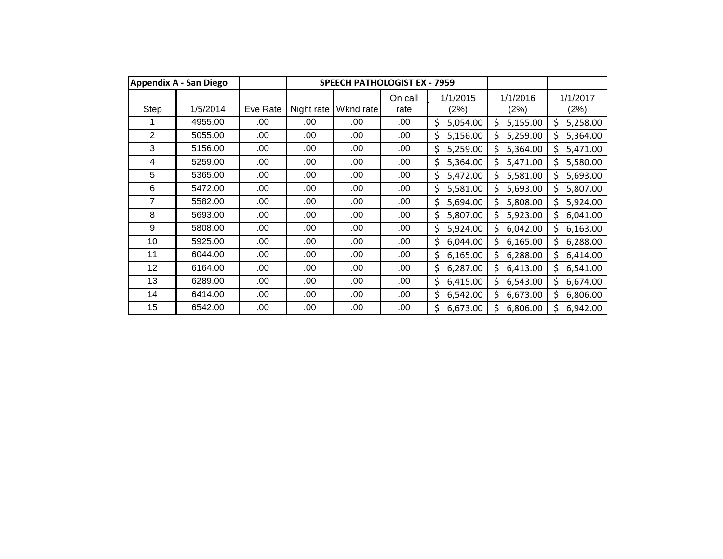|             | <b>Appendix A - San Diego</b> |          |            | <b>SPEECH PATHOLOGIST EX - 7959</b> |                 |                  |                  |                  |
|-------------|-------------------------------|----------|------------|-------------------------------------|-----------------|------------------|------------------|------------------|
| <b>Step</b> | 1/5/2014                      | Eve Rate | Night rate | Wknd rate                           | On call<br>rate | 1/1/2015<br>(2%) | 1/1/2016<br>(2%) | 1/1/2017<br>(2%) |
|             | 4955.00                       | .00      | .00        | .00                                 | .00             | \$<br>5,054.00   | \$<br>5,155.00   | \$<br>5,258.00   |
| 2           | 5055.00                       | .00      | .00        | .00                                 | .00             | \$<br>5,156.00   | \$<br>5,259.00   | 5,364.00<br>Ś.   |
| 3           | 5156.00                       | .00      | .00        | .00                                 | .00.            | \$<br>5,259.00   | \$<br>5,364.00   | \$<br>5,471.00   |
| 4           | 5259.00                       | .00      | .00        | .00                                 | .00             | 5,364.00<br>\$   | Ś<br>5,471.00    | Ś.<br>5,580.00   |
| 5           | 5365.00                       | .00      | .00        | .00                                 | .00             | \$<br>5,472.00   | \$<br>5,581.00   | \$.<br>5,693.00  |
| 6           | 5472.00                       | .00      | .00        | .00                                 | .00             | \$<br>5,581.00   | \$<br>5,693.00   | \$<br>5,807.00   |
| 7           | 5582.00                       | .00      | .00        | .00                                 | .00             | \$<br>5,694.00   | \$<br>5,808.00   | Ś<br>5,924.00    |
| 8           | 5693.00                       | .00      | .00        | .00                                 | .00             | 5,807.00<br>\$   | \$<br>5,923.00   | 6,041.00<br>\$   |
| 9           | 5808.00                       | .00      | .00        | .00                                 | .00             | \$<br>5,924.00   | \$<br>6,042.00   | 6,163.00<br>\$   |
| 10          | 5925.00                       | .00      | .00        | .00                                 | .00             | \$<br>6,044.00   | \$<br>6,165.00   | \$.<br>6,288.00  |
| 11          | 6044.00                       | .00      | .00        | .00                                 | .00             | \$<br>6,165.00   | Ś<br>6,288.00    | \$.<br>6,414.00  |
| 12          | 6164.00                       | .00      | .00        | .00                                 | .00             | \$<br>6,287.00   | \$<br>6,413.00   | \$.<br>6,541.00  |
| 13          | 6289.00                       | .00      | .00        | .00                                 | .00             | \$<br>6,415.00   | \$<br>6,543.00   | \$.<br>6,674.00  |
| 14          | 6414.00                       | .00      | .00        | .00                                 | .00             | \$<br>6,542.00   | \$<br>6,673.00   | \$<br>6,806.00   |
| 15          | 6542.00                       | .00      | .00        | .00                                 | .00             | \$<br>6,673.00   | \$<br>6,806.00   | Ś.<br>6,942.00   |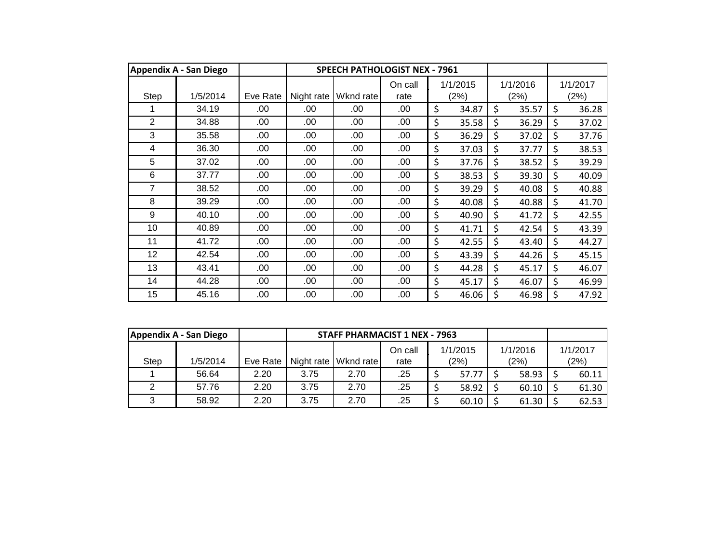|      | <b>Appendix A - San Diego</b> |          |            | <b>SPEECH PATHOLOGIST NEX - 7961</b> |                 |                  |    |                  |                  |
|------|-------------------------------|----------|------------|--------------------------------------|-----------------|------------------|----|------------------|------------------|
| Step | 1/5/2014                      | Eve Rate | Night rate | Wknd rate                            | On call<br>rate | 1/1/2015<br>(2%) |    | 1/1/2016<br>(2%) | 1/1/2017<br>(2%) |
|      | 34.19                         | .00      | .00        | .00                                  | .00             | \$<br>34.87      | \$ | 35.57            | \$<br>36.28      |
| 2    | 34.88                         | .00      | .00        | .00                                  | .00             | \$<br>35.58      | \$ | 36.29            | \$<br>37.02      |
| 3    | 35.58                         | .00      | .00        | .00                                  | .00             | \$<br>36.29      | Ś  | 37.02            | \$<br>37.76      |
| 4    | 36.30                         | .00      | .00        | .00                                  | .00             | \$<br>37.03      | \$ | 37.77            | \$<br>38.53      |
| 5    | 37.02                         | .00      | .00        | .00                                  | .00             | \$<br>37.76      | \$ | 38.52            | \$<br>39.29      |
| 6    | 37.77                         | .00      | .00        | .00                                  | .00             | \$<br>38.53      | \$ | 39.30            | \$<br>40.09      |
| 7    | 38.52                         | .00      | .00        | .00                                  | .00             | \$<br>39.29      | \$ | 40.08            | \$<br>40.88      |
| 8    | 39.29                         | .00      | .00        | .00                                  | .00             | \$<br>40.08      | \$ | 40.88            | \$<br>41.70      |
| 9    | 40.10                         | .00      | .00        | .00                                  | .00             | \$<br>40.90      | \$ | 41.72            | \$<br>42.55      |
| 10   | 40.89                         | .00      | .00        | .00                                  | .00             | \$<br>41.71      | \$ | 42.54            | \$<br>43.39      |
| 11   | 41.72                         | .00      | .00        | .00                                  | .00             | \$<br>42.55      | Ś  | 43.40            | \$<br>44.27      |
| 12   | 42.54                         | .00      | .00        | .00                                  | .00             | \$<br>43.39      | \$ | 44.26            | \$<br>45.15      |
| 13   | 43.41                         | .00      | .00        | .00                                  | .00             | \$<br>44.28      | \$ | 45.17            | \$<br>46.07      |
| 14   | 44.28                         | .00      | .00        | .00                                  | .00             | \$<br>45.17      | \$ | 46.07            | \$<br>46.99      |
| 15   | 45.16                         | .00      | .00        | .00                                  | .00             | \$<br>46.06      | \$ | 46.98            | \$<br>47.92      |

|             | Appendix A - San Diego |          | <b>STAFF PHARMACIST 1 NEX - 7963</b> |                        |         |  |          |          |          |
|-------------|------------------------|----------|--------------------------------------|------------------------|---------|--|----------|----------|----------|
|             |                        |          |                                      |                        | On call |  | 1/1/2015 | 1/1/2016 | 1/1/2017 |
| <b>Step</b> | 1/5/2014               | Eve Rate |                                      | Night rate   Wknd rate | rate    |  | (2%)     | (2%)     | (2%)     |
|             | 56.64                  | 2.20     | 3.75                                 | 2.70                   | .25     |  | 57.77    | 58.93    | 60.11    |
|             | 57.76                  | 2.20     | 3.75                                 | 2.70                   | .25     |  | 58.92    | 60.10    | 61.30    |
|             | 58.92                  | 2.20     | 3.75                                 | 2.70                   | .25     |  | 60.10    | 61.30    | 62.53    |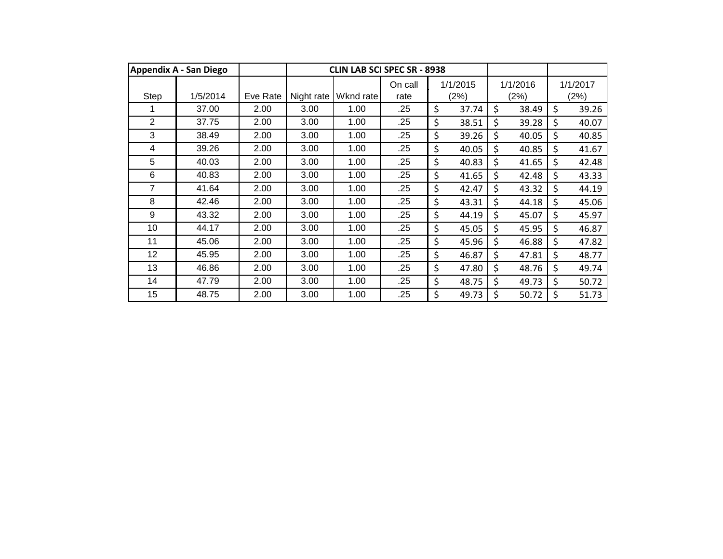|                | Appendix A - San Diego |          |            | <b>CLIN LAB SCI SPEC SR - 8938</b> |                 |                  |                  |       |                  |
|----------------|------------------------|----------|------------|------------------------------------|-----------------|------------------|------------------|-------|------------------|
| Step           | 1/5/2014               | Eve Rate | Night rate | Wknd rate                          | On call<br>rate | 1/1/2015<br>(2%) | 1/1/2016<br>(2%) |       | 1/1/2017<br>(2%) |
|                | 37.00                  | 2.00     | 3.00       | 1.00                               | .25             | \$<br>37.74      | \$               | 38.49 | \$<br>39.26      |
| $\overline{2}$ | 37.75                  | 2.00     | 3.00       | 1.00                               | .25             | \$<br>38.51      | \$               | 39.28 | \$<br>40.07      |
| 3              | 38.49                  | 2.00     | 3.00       | 1.00                               | .25             | \$<br>39.26      | \$               | 40.05 | \$<br>40.85      |
| $\overline{4}$ | 39.26                  | 2.00     | 3.00       | 1.00                               | .25             | \$<br>40.05      | \$               | 40.85 | \$<br>41.67      |
| 5              | 40.03                  | 2.00     | 3.00       | 1.00                               | .25             | \$<br>40.83      | \$               | 41.65 | \$<br>42.48      |
| 6              | 40.83                  | 2.00     | 3.00       | 1.00                               | .25             | \$<br>41.65      | \$               | 42.48 | \$<br>43.33      |
| $\overline{7}$ | 41.64                  | 2.00     | 3.00       | 1.00                               | .25             | \$<br>42.47      | \$               | 43.32 | \$<br>44.19      |
| 8              | 42.46                  | 2.00     | 3.00       | 1.00                               | .25             | \$<br>43.31      | \$               | 44.18 | \$<br>45.06      |
| 9              | 43.32                  | 2.00     | 3.00       | 1.00                               | .25             | \$<br>44.19      | \$               | 45.07 | \$<br>45.97      |
| 10             | 44.17                  | 2.00     | 3.00       | 1.00                               | .25             | \$<br>45.05      | \$               | 45.95 | \$<br>46.87      |
| 11             | 45.06                  | 2.00     | 3.00       | 1.00                               | .25             | \$<br>45.96      | \$               | 46.88 | \$<br>47.82      |
| 12             | 45.95                  | 2.00     | 3.00       | 1.00                               | .25             | \$<br>46.87      | \$               | 47.81 | \$<br>48.77      |
| 13             | 46.86                  | 2.00     | 3.00       | 1.00                               | .25             | \$<br>47.80      | \$               | 48.76 | \$<br>49.74      |
| 14             | 47.79                  | 2.00     | 3.00       | 1.00                               | .25             | \$<br>48.75      | \$               | 49.73 | \$<br>50.72      |
| 15             | 48.75                  | 2.00     | 3.00       | 1.00                               | .25             | \$<br>49.73      | \$               | 50.72 | \$<br>51.73      |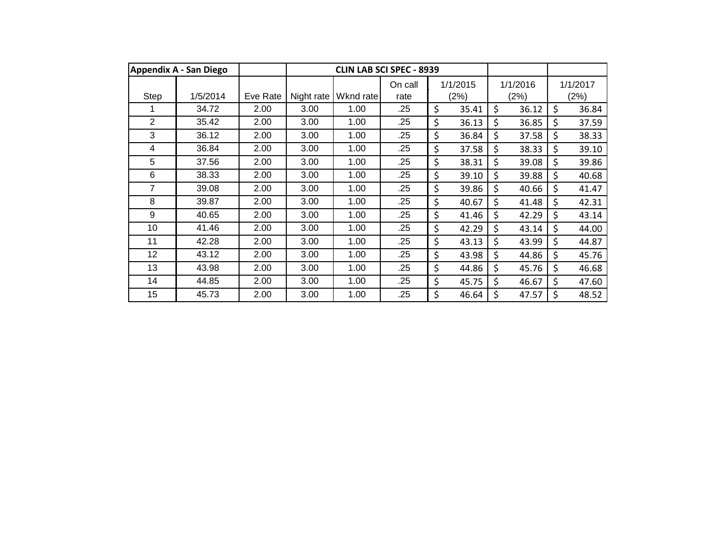|                | <b>Appendix A - San Diego</b> |          |            |           | <b>CLIN LAB SCI SPEC - 8939</b> |                  |                  |       |                  |
|----------------|-------------------------------|----------|------------|-----------|---------------------------------|------------------|------------------|-------|------------------|
| Step           | 1/5/2014                      | Eve Rate | Night rate | Wknd rate | On call<br>rate                 | 1/1/2015<br>(2%) | 1/1/2016<br>(2%) |       | 1/1/2017<br>(2%) |
|                | 34.72                         | 2.00     | 3.00       | 1.00      | .25                             | \$<br>35.41      | \$               | 36.12 | \$<br>36.84      |
| $\overline{2}$ | 35.42                         | 2.00     | 3.00       | 1.00      | .25                             | \$<br>36.13      | \$               | 36.85 | \$<br>37.59      |
| 3              | 36.12                         | 2.00     | 3.00       | 1.00      | .25                             | \$<br>36.84      | \$               | 37.58 | \$<br>38.33      |
| 4              | 36.84                         | 2.00     | 3.00       | 1.00      | .25                             | \$<br>37.58      | \$               | 38.33 | \$<br>39.10      |
| 5              | 37.56                         | 2.00     | 3.00       | 1.00      | .25                             | \$<br>38.31      | \$               | 39.08 | \$<br>39.86      |
| 6              | 38.33                         | 2.00     | 3.00       | 1.00      | .25                             | \$<br>39.10      | \$               | 39.88 | \$<br>40.68      |
| 7              | 39.08                         | 2.00     | 3.00       | 1.00      | .25                             | \$<br>39.86      | \$               | 40.66 | \$<br>41.47      |
| 8              | 39.87                         | 2.00     | 3.00       | 1.00      | .25                             | \$<br>40.67      | \$               | 41.48 | \$<br>42.31      |
| 9              | 40.65                         | 2.00     | 3.00       | 1.00      | .25                             | \$<br>41.46      | \$               | 42.29 | \$<br>43.14      |
| 10             | 41.46                         | 2.00     | 3.00       | 1.00      | .25                             | \$<br>42.29      | \$               | 43.14 | \$<br>44.00      |
| 11             | 42.28                         | 2.00     | 3.00       | 1.00      | .25                             | \$<br>43.13      | \$               | 43.99 | \$<br>44.87      |
| 12             | 43.12                         | 2.00     | 3.00       | 1.00      | .25                             | \$<br>43.98      | \$               | 44.86 | \$<br>45.76      |
| 13             | 43.98                         | 2.00     | 3.00       | 1.00      | .25                             | \$<br>44.86      | \$               | 45.76 | \$<br>46.68      |
| 14             | 44.85                         | 2.00     | 3.00       | 1.00      | .25                             | \$<br>45.75      | \$               | 46.67 | \$<br>47.60      |
| 15             | 45.73                         | 2.00     | 3.00       | 1.00      | .25                             | \$<br>46.64      | \$               | 47.57 | \$<br>48.52      |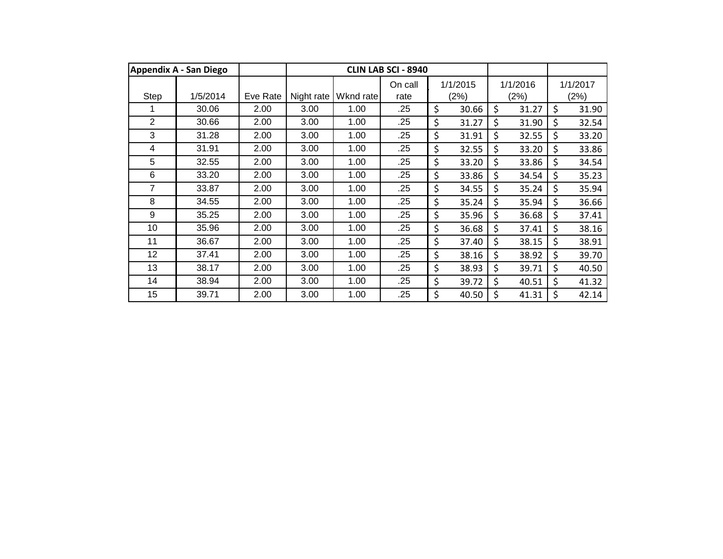|                | <b>Appendix A - San Diego</b> |          |            |           | <b>CLIN LAB SCI - 8940</b> |                  |                  |       |                  |
|----------------|-------------------------------|----------|------------|-----------|----------------------------|------------------|------------------|-------|------------------|
| Step           | 1/5/2014                      | Eve Rate | Night rate | Wknd rate | On call<br>rate            | 1/1/2015<br>(2%) | 1/1/2016<br>(2%) |       | 1/1/2017<br>(2%) |
|                | 30.06                         | 2.00     | 3.00       | 1.00      | .25                        | \$<br>30.66      | \$               | 31.27 | \$<br>31.90      |
| $\overline{2}$ | 30.66                         | 2.00     | 3.00       | 1.00      | .25                        | \$<br>31.27      | Ś                | 31.90 | \$<br>32.54      |
| 3              | 31.28                         | 2.00     | 3.00       | 1.00      | .25                        | \$<br>31.91      | \$               | 32.55 | \$<br>33.20      |
| 4              | 31.91                         | 2.00     | 3.00       | 1.00      | .25                        | \$<br>32.55      | \$               | 33.20 | \$<br>33.86      |
| 5              | 32.55                         | 2.00     | 3.00       | 1.00      | .25                        | \$<br>33.20      | \$               | 33.86 | \$<br>34.54      |
| 6              | 33.20                         | 2.00     | 3.00       | 1.00      | .25                        | \$<br>33.86      | \$               | 34.54 | \$<br>35.23      |
| 7              | 33.87                         | 2.00     | 3.00       | 1.00      | .25                        | \$<br>34.55      | \$               | 35.24 | \$<br>35.94      |
| 8              | 34.55                         | 2.00     | 3.00       | 1.00      | .25                        | \$<br>35.24      | \$               | 35.94 | \$<br>36.66      |
| 9              | 35.25                         | 2.00     | 3.00       | 1.00      | .25                        | \$<br>35.96      | \$               | 36.68 | \$<br>37.41      |
| 10             | 35.96                         | 2.00     | 3.00       | 1.00      | .25                        | \$<br>36.68      | \$               | 37.41 | \$<br>38.16      |
| 11             | 36.67                         | 2.00     | 3.00       | 1.00      | .25                        | \$<br>37.40      | \$               | 38.15 | \$<br>38.91      |
| 12             | 37.41                         | 2.00     | 3.00       | 1.00      | .25                        | \$<br>38.16      | \$               | 38.92 | \$<br>39.70      |
| 13             | 38.17                         | 2.00     | 3.00       | 1.00      | .25                        | \$<br>38.93      | \$               | 39.71 | \$<br>40.50      |
| 14             | 38.94                         | 2.00     | 3.00       | 1.00      | .25                        | \$<br>39.72      | \$               | 40.51 | \$<br>41.32      |
| 15             | 39.71                         | 2.00     | 3.00       | 1.00      | .25                        | \$<br>40.50      | \$               | 41.31 | \$<br>42.14      |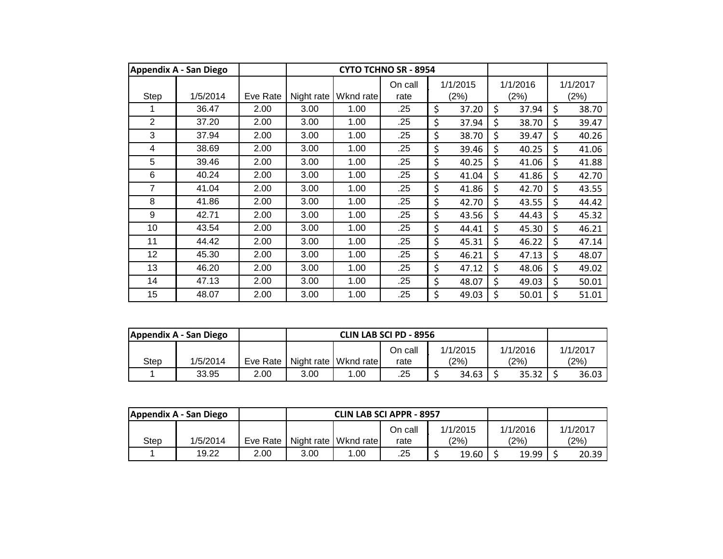|                | <b>Appendix A - San Diego</b> |          |            |           | <b>CYTO TCHNO SR - 8954</b> |                  |                  |                  |
|----------------|-------------------------------|----------|------------|-----------|-----------------------------|------------------|------------------|------------------|
| Step           | 1/5/2014                      | Eve Rate | Night rate | Wknd rate | On call<br>rate             | 1/1/2015<br>(2%) | 1/1/2016<br>(2%) | 1/1/2017<br>(2%) |
|                | 36.47                         | 2.00     | 3.00       | 1.00      | .25                         | \$<br>37.20      | \$<br>37.94      | \$<br>38.70      |
| $\overline{2}$ | 37.20                         | 2.00     | 3.00       | 1.00      | .25                         | \$<br>37.94      | \$<br>38.70      | \$<br>39.47      |
| 3              | 37.94                         | 2.00     | 3.00       | 1.00      | .25                         | \$<br>38.70      | \$<br>39.47      | \$<br>40.26      |
| 4              | 38.69                         | 2.00     | 3.00       | 1.00      | .25                         | \$<br>39.46      | \$<br>40.25      | \$<br>41.06      |
| 5              | 39.46                         | 2.00     | 3.00       | 1.00      | .25                         | \$<br>40.25      | \$<br>41.06      | \$<br>41.88      |
| 6              | 40.24                         | 2.00     | 3.00       | 1.00      | .25                         | \$<br>41.04      | \$<br>41.86      | \$<br>42.70      |
| 7              | 41.04                         | 2.00     | 3.00       | 1.00      | .25                         | \$<br>41.86      | \$<br>42.70      | \$<br>43.55      |
| 8              | 41.86                         | 2.00     | 3.00       | 1.00      | .25                         | \$<br>42.70      | \$<br>43.55      | \$<br>44.42      |
| 9              | 42.71                         | 2.00     | 3.00       | 1.00      | .25                         | \$<br>43.56      | \$<br>44.43      | \$<br>45.32      |
| 10             | 43.54                         | 2.00     | 3.00       | 1.00      | .25                         | \$<br>44.41      | \$<br>45.30      | \$<br>46.21      |
| 11             | 44.42                         | 2.00     | 3.00       | 1.00      | .25                         | \$<br>45.31      | \$<br>46.22      | \$<br>47.14      |
| 12             | 45.30                         | 2.00     | 3.00       | 1.00      | .25                         | \$<br>46.21      | \$<br>47.13      | \$<br>48.07      |
| 13             | 46.20                         | 2.00     | 3.00       | 1.00      | .25                         | \$<br>47.12      | \$<br>48.06      | \$<br>49.02      |
| 14             | 47.13                         | 2.00     | 3.00       | 1.00      | .25                         | \$<br>48.07      | \$<br>49.03      | \$<br>50.01      |
| 15             | 48.07                         | 2.00     | 3.00       | 1.00      | .25                         | \$<br>49.03      | \$<br>50.01      | \$<br>51.01      |

| Appendix A - San Diego |          |          |      |                        | <b>CLIN LAB SCI PD - 8956</b> |          |           |          |
|------------------------|----------|----------|------|------------------------|-------------------------------|----------|-----------|----------|
|                        |          |          |      |                        | On call                       | 1/1/2015 | 1/1/2016  | 1/1/2017 |
| Step                   | 1/5/2014 | Eve Rate |      | Night rate   Wknd rate | rate                          | (2%)     | (2%)      | (2%)     |
|                        | 33.95    | 2.00     | 3.00 | 0.00                   | .25                           | 34.63    | $35.32$ I | 36.03    |

|      | Appendix A - San Diego |            |      | <b>CLIN LAB SCI APPR - 8957</b> |         |          |          |          |
|------|------------------------|------------|------|---------------------------------|---------|----------|----------|----------|
|      |                        |            |      |                                 | On call | 1/1/2015 | 1/1/2016 | 1/1/2017 |
| Step | 1/5/2014               | Eve Rate I |      | Night rate   Wknd rate          | rate    | (2%)     | (2%)     | (2%)     |
|      | 19.22                  | 2.00       | 3.00 | .00                             | .25     | 19.60    | 19.99    | 20.39    |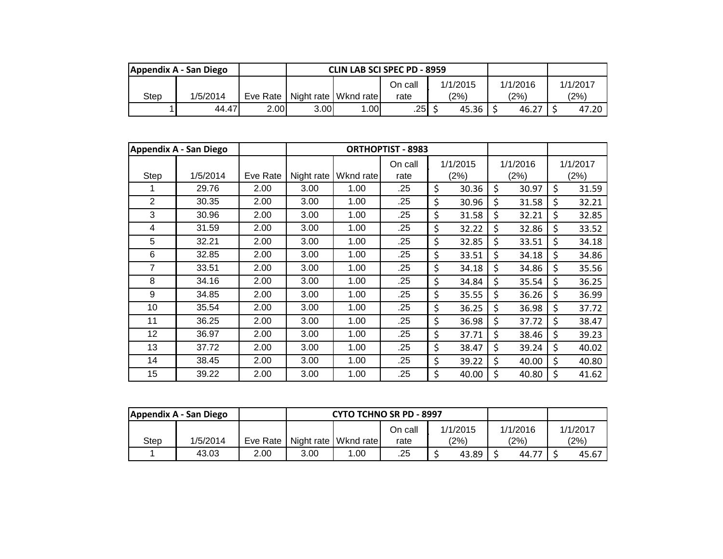|      | Appendix A - San Diego |          |      |                        | <b>CLIN LAB SCI SPEC PD - 8959</b> |          |          |          |
|------|------------------------|----------|------|------------------------|------------------------------------|----------|----------|----------|
|      |                        |          |      |                        | On call                            | 1/1/2015 | 1/1/2016 | 1/1/2017 |
| Step | 1/5/2014               | Eve Rate |      | Night rate   Wknd rate | rate                               | (2%)     | (2%)     | (2%)     |
|      | 44.47                  | 2.00     | 3.00 | .00 <sub>1</sub>       | .25                                | 45.36    | 46.27    | 47.20    |

|      | <b>Appendix A - San Diego</b> |          |            |           | <b>ORTHOPTIST - 8983</b> |                  |                  |                  |
|------|-------------------------------|----------|------------|-----------|--------------------------|------------------|------------------|------------------|
| Step | 1/5/2014                      | Eve Rate | Night rate | Wknd rate | On call<br>rate          | 1/1/2015<br>(2%) | 1/1/2016<br>(2%) | 1/1/2017<br>(2%) |
|      | 29.76                         | 2.00     | 3.00       | 1.00      | .25                      | \$<br>30.36      | \$<br>30.97      | \$<br>31.59      |
| 2    | 30.35                         | 2.00     | 3.00       | 1.00      | .25                      | \$<br>30.96      | \$<br>31.58      | \$<br>32.21      |
| 3    | 30.96                         | 2.00     | 3.00       | 1.00      | .25                      | \$<br>31.58      | \$<br>32.21      | \$<br>32.85      |
| 4    | 31.59                         | 2.00     | 3.00       | 1.00      | .25                      | \$<br>32.22      | \$<br>32.86      | \$<br>33.52      |
| 5    | 32.21                         | 2.00     | 3.00       | 1.00      | .25                      | \$<br>32.85      | \$<br>33.51      | \$<br>34.18      |
| 6    | 32.85                         | 2.00     | 3.00       | 1.00      | .25                      | \$<br>33.51      | \$<br>34.18      | \$<br>34.86      |
| 7    | 33.51                         | 2.00     | 3.00       | 1.00      | .25                      | \$<br>34.18      | \$<br>34.86      | \$<br>35.56      |
| 8    | 34.16                         | 2.00     | 3.00       | 1.00      | .25                      | \$<br>34.84      | \$<br>35.54      | \$<br>36.25      |
| 9    | 34.85                         | 2.00     | 3.00       | 1.00      | .25                      | \$<br>35.55      | \$<br>36.26      | \$<br>36.99      |
| 10   | 35.54                         | 2.00     | 3.00       | 1.00      | .25                      | \$<br>36.25      | \$<br>36.98      | \$<br>37.72      |
| 11   | 36.25                         | 2.00     | 3.00       | 1.00      | .25                      | \$<br>36.98      | \$<br>37.72      | \$<br>38.47      |
| 12   | 36.97                         | 2.00     | 3.00       | 1.00      | .25                      | \$<br>37.71      | \$<br>38.46      | \$<br>39.23      |
| 13   | 37.72                         | 2.00     | 3.00       | 1.00      | .25                      | \$<br>38.47      | \$<br>39.24      | \$<br>40.02      |
| 14   | 38.45                         | 2.00     | 3.00       | 1.00      | .25                      | \$<br>39.22      | \$<br>40.00      | \$<br>40.80      |
| 15   | 39.22                         | 2.00     | 3.00       | 1.00      | .25                      | \$<br>40.00      | \$<br>40.80      | \$<br>41.62      |

|      | Appendix A - San Diego |            |      | <b>CYTO TCHNO SR PD - 8997</b> |         |          |                |  |          |
|------|------------------------|------------|------|--------------------------------|---------|----------|----------------|--|----------|
|      |                        |            |      |                                | On call | 1/1/2015 | 1/1/2016       |  | 1/1/2017 |
| Step | 1/5/2014               | Eve Rate I |      | Night rate   Wknd rate         | rate    | (2%)     | $^{\prime}2\%$ |  | (2%)     |
|      | 43.03                  | 2.00       | 3.00 | .00                            | .25     | 43.89    | 44.7           |  | 45.67    |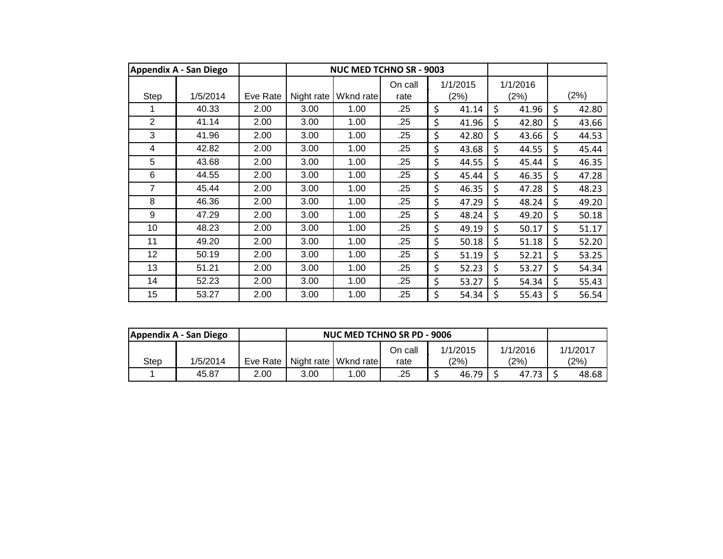|      | <b>Appendix A - San Diego</b> |          |            | <b>NUC MED TCHNO SR - 9003</b> |                 |                  |                  |             |
|------|-------------------------------|----------|------------|--------------------------------|-----------------|------------------|------------------|-------------|
| Step | 1/5/2014                      | Eve Rate | Night rate | Wknd rate                      | On call<br>rate | 1/1/2015<br>(2%) | 1/1/2016<br>(2%) | (2%)        |
|      | 40.33                         | 2.00     | 3.00       | 1.00                           | .25             | \$<br>41.14      | \$<br>41.96      | \$<br>42.80 |
| 2    | 41.14                         | 2.00     | 3.00       | 1.00                           | .25             | \$<br>41.96      | \$<br>42.80      | \$<br>43.66 |
| 3    | 41.96                         | 2.00     | 3.00       | 1.00                           | .25             | \$<br>42.80      | \$<br>43.66      | \$<br>44.53 |
| 4    | 42.82                         | 2.00     | 3.00       | 1.00                           | .25             | \$<br>43.68      | \$<br>44.55      | \$<br>45.44 |
| 5    | 43.68                         | 2.00     | 3.00       | 1.00                           | .25             | \$<br>44.55      | \$<br>45.44      | \$<br>46.35 |
| 6    | 44.55                         | 2.00     | 3.00       | 1.00                           | .25             | \$<br>45.44      | \$<br>46.35      | \$<br>47.28 |
| 7    | 45.44                         | 2.00     | 3.00       | 1.00                           | .25             | \$<br>46.35      | \$<br>47.28      | \$<br>48.23 |
| 8    | 46.36                         | 2.00     | 3.00       | 1.00                           | .25             | \$<br>47.29      | \$<br>48.24      | \$<br>49.20 |
| 9    | 47.29                         | 2.00     | 3.00       | 1.00                           | .25             | \$<br>48.24      | \$<br>49.20      | \$<br>50.18 |
| 10   | 48.23                         | 2.00     | 3.00       | 1.00                           | .25             | \$<br>49.19      | \$<br>50.17      | \$<br>51.17 |
| 11   | 49.20                         | 2.00     | 3.00       | 1.00                           | .25             | \$<br>50.18      | \$<br>51.18      | \$<br>52.20 |
| 12   | 50.19                         | 2.00     | 3.00       | 1.00                           | .25             | \$<br>51.19      | \$<br>52.21      | \$<br>53.25 |
| 13   | 51.21                         | 2.00     | 3.00       | 1.00                           | .25             | \$<br>52.23      | \$<br>53.27      | \$<br>54.34 |
| 14   | 52.23                         | 2.00     | 3.00       | 1.00                           | .25             | \$<br>53.27      | \$<br>54.34      | \$<br>55.43 |
| 15   | 53.27                         | 2.00     | 3.00       | 1.00                           | .25             | \$<br>54.34      | \$<br>55.43      | \$<br>56.54 |

|             | Appendix A - San Diego |            |      | NUC MED TCHNO SR PD - 9006 |         |                |          |          |
|-------------|------------------------|------------|------|----------------------------|---------|----------------|----------|----------|
|             |                        |            |      |                            | On call | 1/1/2015       | 1/1/2016 | 1/1/2017 |
| <b>Step</b> | 1/5/2014               | Eve Rate I |      | Night rate   Wknd rate     | rate    | $^{\prime}2\%$ | (2%)     | (2%)     |
|             | 45.87                  | 2.00       | 3.00 | 1.00                       | .25     | 46.79          | 47.73    | 48.68    |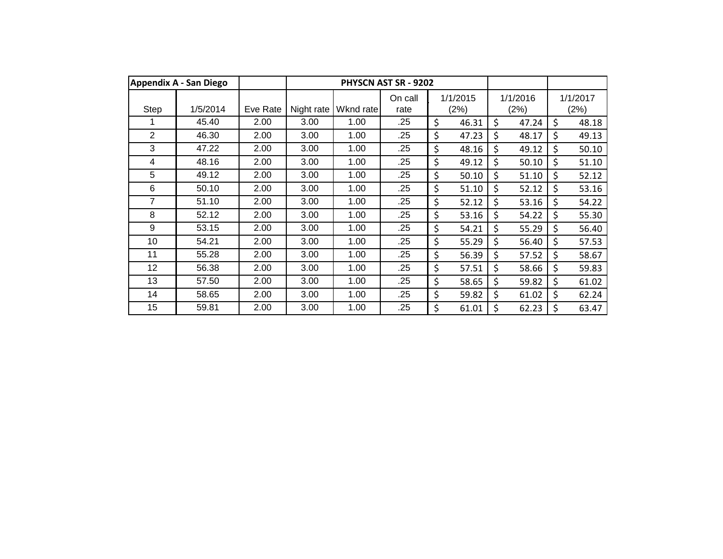|                | <b>Appendix A - San Diego</b> |          |            |           | PHYSCN AST SR - 9202 |                  |                  |                  |
|----------------|-------------------------------|----------|------------|-----------|----------------------|------------------|------------------|------------------|
| Step           | 1/5/2014                      | Eve Rate | Night rate | Wknd rate | On call<br>rate      | 1/1/2015<br>(2%) | 1/1/2016<br>(2%) | 1/1/2017<br>(2%) |
|                | 45.40                         | 2.00     | 3.00       | 1.00      | .25                  | \$<br>46.31      | \$<br>47.24      | \$<br>48.18      |
| $\overline{2}$ | 46.30                         | 2.00     | 3.00       | 1.00      | .25                  | \$<br>47.23      | \$<br>48.17      | \$<br>49.13      |
| 3              | 47.22                         | 2.00     | 3.00       | 1.00      | .25                  | \$<br>48.16      | \$<br>49.12      | \$<br>50.10      |
| 4              | 48.16                         | 2.00     | 3.00       | 1.00      | .25                  | \$<br>49.12      | \$<br>50.10      | \$<br>51.10      |
| 5              | 49.12                         | 2.00     | 3.00       | 1.00      | .25                  | \$<br>50.10      | \$<br>51.10      | \$<br>52.12      |
| 6              | 50.10                         | 2.00     | 3.00       | 1.00      | .25                  | \$<br>51.10      | \$<br>52.12      | \$<br>53.16      |
| 7              | 51.10                         | 2.00     | 3.00       | 1.00      | .25                  | \$<br>52.12      | \$<br>53.16      | \$<br>54.22      |
| 8              | 52.12                         | 2.00     | 3.00       | 1.00      | .25                  | \$<br>53.16      | \$<br>54.22      | \$<br>55.30      |
| 9              | 53.15                         | 2.00     | 3.00       | 1.00      | .25                  | \$<br>54.21      | \$<br>55.29      | \$<br>56.40      |
| 10             | 54.21                         | 2.00     | 3.00       | 1.00      | .25                  | \$<br>55.29      | \$<br>56.40      | \$<br>57.53      |
| 11             | 55.28                         | 2.00     | 3.00       | 1.00      | .25                  | \$<br>56.39      | \$<br>57.52      | \$<br>58.67      |
| 12             | 56.38                         | 2.00     | 3.00       | 1.00      | .25                  | \$<br>57.51      | \$<br>58.66      | \$<br>59.83      |
| 13             | 57.50                         | 2.00     | 3.00       | 1.00      | .25                  | \$<br>58.65      | \$<br>59.82      | \$<br>61.02      |
| 14             | 58.65                         | 2.00     | 3.00       | 1.00      | .25                  | \$<br>59.82      | \$<br>61.02      | \$<br>62.24      |
| 15             | 59.81                         | 2.00     | 3.00       | 1.00      | .25                  | \$<br>61.01      | \$<br>62.23      | \$<br>63.47      |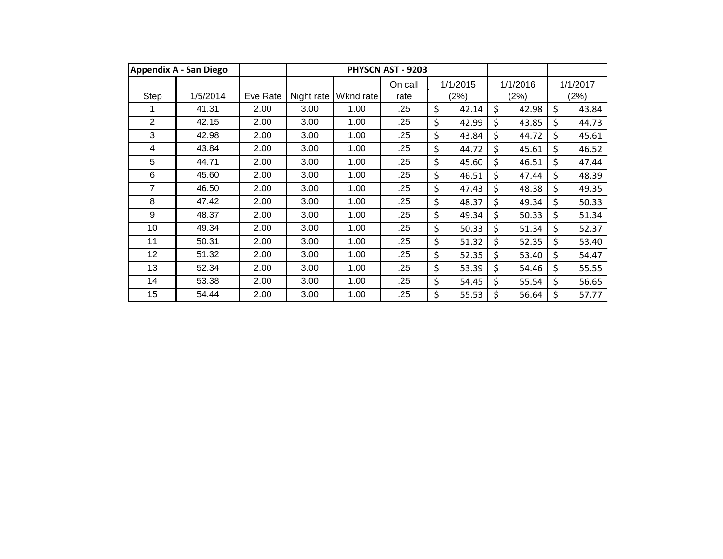|                | <b>Appendix A - San Diego</b> |          |            |           | PHYSCN AST - 9203 |             |             |             |
|----------------|-------------------------------|----------|------------|-----------|-------------------|-------------|-------------|-------------|
|                |                               |          |            |           | On call           | 1/1/2015    | 1/1/2016    | 1/1/2017    |
| Step           | 1/5/2014                      | Eve Rate | Night rate | Wknd rate | rate              | (2%)        | (2%)        | (2%)        |
|                | 41.31                         | 2.00     | 3.00       | 1.00      | .25               | \$<br>42.14 | \$<br>42.98 | \$<br>43.84 |
| $\overline{2}$ | 42.15                         | 2.00     | 3.00       | 1.00      | .25               | \$<br>42.99 | \$<br>43.85 | \$<br>44.73 |
| 3              | 42.98                         | 2.00     | 3.00       | 1.00      | .25               | \$<br>43.84 | \$<br>44.72 | \$<br>45.61 |
| 4              | 43.84                         | 2.00     | 3.00       | 1.00      | .25               | \$<br>44.72 | \$<br>45.61 | \$<br>46.52 |
| 5              | 44.71                         | 2.00     | 3.00       | 1.00      | .25               | \$<br>45.60 | \$<br>46.51 | \$<br>47.44 |
| 6              | 45.60                         | 2.00     | 3.00       | 1.00      | .25               | \$<br>46.51 | \$<br>47.44 | \$<br>48.39 |
| $\overline{7}$ | 46.50                         | 2.00     | 3.00       | 1.00      | .25               | \$<br>47.43 | \$<br>48.38 | \$<br>49.35 |
| 8              | 47.42                         | 2.00     | 3.00       | 1.00      | .25               | \$<br>48.37 | \$<br>49.34 | \$<br>50.33 |
| 9              | 48.37                         | 2.00     | 3.00       | 1.00      | .25               | \$<br>49.34 | \$<br>50.33 | \$<br>51.34 |
| 10             | 49.34                         | 2.00     | 3.00       | 1.00      | .25               | \$<br>50.33 | \$<br>51.34 | \$<br>52.37 |
| 11             | 50.31                         | 2.00     | 3.00       | 1.00      | .25               | \$<br>51.32 | \$<br>52.35 | \$<br>53.40 |
| 12             | 51.32                         | 2.00     | 3.00       | 1.00      | .25               | \$<br>52.35 | \$<br>53.40 | \$<br>54.47 |
| 13             | 52.34                         | 2.00     | 3.00       | 1.00      | .25               | \$<br>53.39 | \$<br>54.46 | \$<br>55.55 |
| 14             | 53.38                         | 2.00     | 3.00       | 1.00      | .25               | \$<br>54.45 | \$<br>55.54 | \$<br>56.65 |
| 15             | 54.44                         | 2.00     | 3.00       | 1.00      | .25               | \$<br>55.53 | \$<br>56.64 | \$<br>57.77 |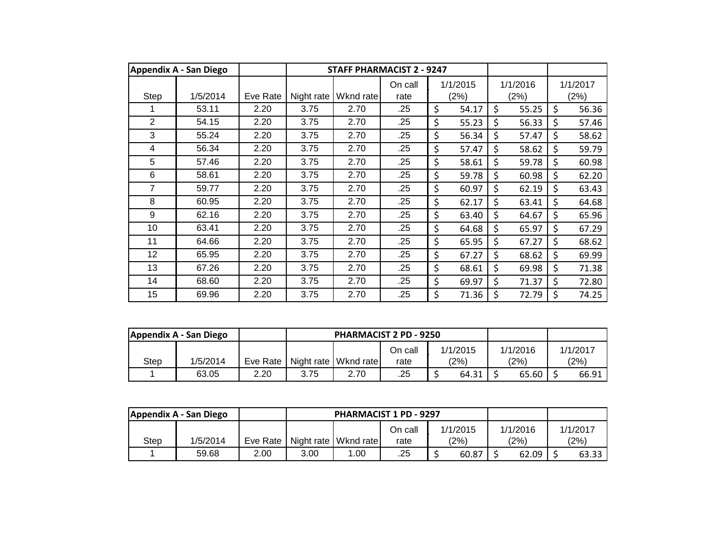|                | <b>Appendix A - San Diego</b> |          |            | <b>STAFF PHARMACIST 2 - 9247</b> |                 |                  |                  |                  |
|----------------|-------------------------------|----------|------------|----------------------------------|-----------------|------------------|------------------|------------------|
| Step           | 1/5/2014                      | Eve Rate | Night rate | Wknd rate                        | On call<br>rate | 1/1/2015<br>(2%) | 1/1/2016<br>(2%) | 1/1/2017<br>(2%) |
|                | 53.11                         | 2.20     | 3.75       | 2.70                             | .25             | \$<br>54.17      | \$<br>55.25      | \$<br>56.36      |
| $\overline{2}$ | 54.15                         | 2.20     | 3.75       | 2.70                             | .25             | \$<br>55.23      | \$<br>56.33      | \$<br>57.46      |
| 3              | 55.24                         | 2.20     | 3.75       | 2.70                             | .25             | \$<br>56.34      | \$<br>57.47      | \$<br>58.62      |
| 4              | 56.34                         | 2.20     | 3.75       | 2.70                             | .25             | \$<br>57.47      | \$<br>58.62      | \$<br>59.79      |
| 5              | 57.46                         | 2.20     | 3.75       | 2.70                             | .25             | \$<br>58.61      | \$<br>59.78      | \$<br>60.98      |
| 6              | 58.61                         | 2.20     | 3.75       | 2.70                             | .25             | \$<br>59.78      | \$<br>60.98      | \$<br>62.20      |
| 7              | 59.77                         | 2.20     | 3.75       | 2.70                             | .25             | \$<br>60.97      | \$<br>62.19      | \$<br>63.43      |
| 8              | 60.95                         | 2.20     | 3.75       | 2.70                             | .25             | \$<br>62.17      | \$<br>63.41      | \$<br>64.68      |
| 9              | 62.16                         | 2.20     | 3.75       | 2.70                             | .25             | \$<br>63.40      | \$<br>64.67      | \$<br>65.96      |
| 10             | 63.41                         | 2.20     | 3.75       | 2.70                             | .25             | \$<br>64.68      | \$<br>65.97      | \$<br>67.29      |
| 11             | 64.66                         | 2.20     | 3.75       | 2.70                             | .25             | \$<br>65.95      | \$<br>67.27      | \$<br>68.62      |
| 12             | 65.95                         | 2.20     | 3.75       | 2.70                             | .25             | \$<br>67.27      | \$<br>68.62      | \$<br>69.99      |
| 13             | 67.26                         | 2.20     | 3.75       | 2.70                             | .25             | \$<br>68.61      | \$<br>69.98      | \$<br>71.38      |
| 14             | 68.60                         | 2.20     | 3.75       | 2.70                             | .25             | \$<br>69.97      | \$<br>71.37      | \$<br>72.80      |
| 15             | 69.96                         | 2.20     | 3.75       | 2.70                             | .25             | \$<br>71.36      | \$<br>72.79      | \$<br>74.25      |

|      | Appendix A - San Diego |          |            | <b>PHARMACIST 2 PD - 9250</b> |         |          |                |          |
|------|------------------------|----------|------------|-------------------------------|---------|----------|----------------|----------|
|      |                        |          |            |                               | On call | 1/1/2015 | 1/1/2016       | 1/1/2017 |
| Step | 1/5/2014               | Eve Rate | Night rate | Wknd rate                     | rate    | (2%)     | $^{\prime}2\%$ | (2%)     |
|      | 63.05                  | 2.20     | 3.75       | 2.70                          | .25     | 64.31    | 65.60          | 66.91    |

|      | Appendix A - San Diego |          |      | <b>PHARMACIST 1 PD - 9297</b> |         |          |          |          |
|------|------------------------|----------|------|-------------------------------|---------|----------|----------|----------|
|      |                        |          |      |                               | On call | 1/1/2015 | 1/1/2016 | 1/1/2017 |
| Step | 1/5/2014               | Eve Rate |      | Night rate   Wknd rate        | rate    | (2%)     | (2%)     | (2%)     |
|      | 59.68                  | 2.00     | 3.00 | .00                           | .25     | 60.87    | 62.09    | 63.33    |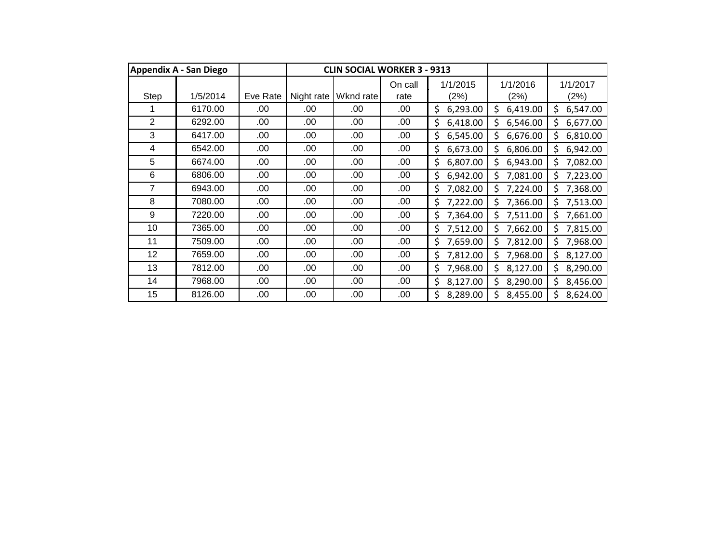|                | <b>Appendix A - San Diego</b> |          |            | <b>CLIN SOCIAL WORKER 3 - 9313</b> |                 |                  |                  |                  |
|----------------|-------------------------------|----------|------------|------------------------------------|-----------------|------------------|------------------|------------------|
| <b>Step</b>    | 1/5/2014                      | Eve Rate | Night rate | Wknd rate                          | On call<br>rate | 1/1/2015<br>(2%) | 1/1/2016<br>(2%) | 1/1/2017<br>(2%) |
|                | 6170.00                       | .00      | .00        | .00                                | .00             | \$<br>6,293.00   | \$<br>6,419.00   | \$<br>6,547.00   |
| $\overline{2}$ | 6292.00                       | .00      | .00        | .00                                | .00             | \$<br>6,418.00   | Ś<br>6,546.00    | 6,677.00<br>Ś.   |
| 3              | 6417.00                       | .00      | .00        | .00                                | .00.            | \$<br>6,545.00   | Ś<br>6,676.00    | \$.<br>6,810.00  |
| 4              | 6542.00                       | .00      | .00        | .00                                | .00             | \$<br>6,673.00   | Ś<br>6,806.00    | Ś.<br>6,942.00   |
| 5              | 6674.00                       | .00      | .00        | .00                                | .00             | \$<br>6,807.00   | \$<br>6,943.00   | 7,082.00<br>\$   |
| 6              | 6806.00                       | .00      | .00        | .00                                | .00             | \$<br>6,942.00   | \$<br>7,081.00   | \$<br>7,223.00   |
| 7              | 6943.00                       | .00      | .00        | .00                                | .00             | \$<br>7,082.00   | Ś<br>7,224.00    | 7,368.00<br>Ś    |
| 8              | 7080.00                       | .00      | .00        | .00                                | .00             | \$<br>7,222.00   | Ś<br>7,366.00    | 7,513.00<br>Ś.   |
| 9              | 7220.00                       | .00      | .00        | .00                                | .00             | \$<br>7,364.00   | \$<br>7,511.00   | 7,661.00<br>\$   |
| 10             | 7365.00                       | .00      | .00        | .00                                | .00             | 7,512.00<br>\$   | \$<br>7,662.00   | 7,815.00<br>Ś.   |
| 11             | 7509.00                       | .00      | .00        | .00                                | .00.            | \$<br>7,659.00   | Ś<br>7,812.00    | Ś.<br>7,968.00   |
| 12             | 7659.00                       | .00      | .00        | .00                                | .00             | \$<br>7,812.00   | \$<br>7,968.00   | \$<br>8,127.00   |
| 13             | 7812.00                       | .00      | .00        | .00                                | .00             | \$<br>7,968.00   | \$<br>8,127.00   | \$<br>8,290.00   |
| 14             | 7968.00                       | .00      | .00        | .00                                | .00             | \$<br>8,127.00   | \$<br>8,290.00   | Ś.<br>8,456.00   |
| 15             | 8126.00                       | .00      | .00        | .00                                | .00             | \$<br>8,289.00   | Ś<br>8,455.00    | 8,624.00         |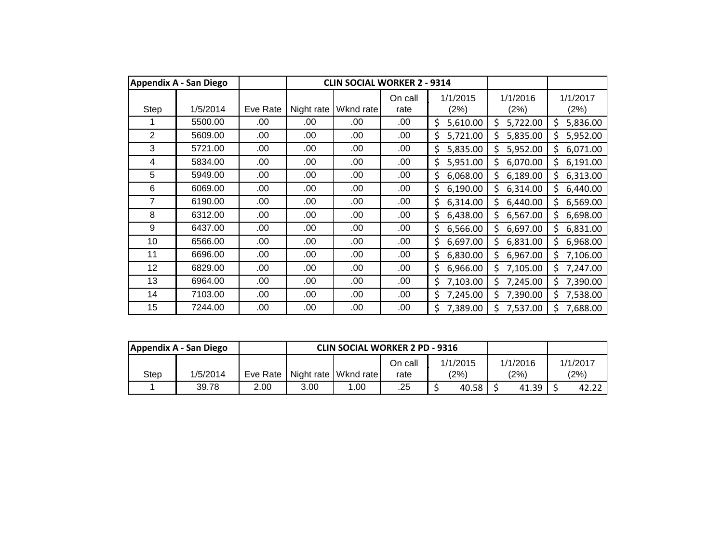|                | <b>Appendix A - San Diego</b> |          |            | <b>CLIN SOCIAL WORKER 2 - 9314</b> |                 |                  |                  |                  |
|----------------|-------------------------------|----------|------------|------------------------------------|-----------------|------------------|------------------|------------------|
| <b>Step</b>    | 1/5/2014                      | Eve Rate | Night rate | Wknd rate                          | On call<br>rate | 1/1/2015<br>(2%) | 1/1/2016<br>(2%) | 1/1/2017<br>(2%) |
|                | 5500.00                       | .00      | .00        | .00                                | .00             | \$<br>5,610.00   | \$<br>5,722.00   | 5,836.00<br>\$   |
| $\overline{2}$ | 5609.00                       | .00      | .00        | .00                                | .00             | \$<br>5,721.00   | Ś<br>5,835.00    | 5,952.00<br>\$   |
| 3              | 5721.00                       | .00      | .00        | .00                                | .00             | 5,835.00<br>\$   | Ś<br>5,952.00    | 6,071.00<br>Ś    |
| 4              | 5834.00                       | .00      | .00        | .00                                | .00             | 5,951.00<br>Ś.   | \$<br>6,070.00   | Ś.<br>6,191.00   |
| 5              | 5949.00                       | .00      | .00        | .00                                | .00             | 6,068.00<br>\$.  | \$<br>6,189.00   | 6,313.00<br>\$   |
| 6              | 6069.00                       | .00      | .00        | .00                                | .00             | \$<br>6,190.00   | \$<br>6,314.00   | \$<br>6,440.00   |
| 7              | 6190.00                       | .00      | .00        | .00                                | .00             | \$<br>6,314.00   | \$<br>6,440.00   | \$<br>6,569.00   |
| 8              | 6312.00                       | .00      | .00        | .00                                | .00             | \$<br>6,438.00   | Ś<br>6,567.00    | \$<br>6,698.00   |
| 9              | 6437.00                       | .00      | .00        | .00                                | .00             | \$<br>6,566.00   | \$<br>6,697.00   | 6,831.00<br>\$   |
| 10             | 6566.00                       | .00      | .00        | .00                                | .00             | \$<br>6,697.00   | \$<br>6,831.00   | 6,968.00<br>\$   |
| 11             | 6696.00                       | .00      | .00        | .00                                | .00             | 6,830.00<br>\$   | \$<br>6,967.00   | 7,106.00<br>Ś    |
| 12             | 6829.00                       | .00      | .00        | .00                                | .00             | Ś.<br>6,966.00   | \$<br>7,105.00   | \$<br>7,247.00   |
| 13             | 6964.00                       | .00      | .00        | .00                                | .00             | 7,103.00<br>Ś.   | \$<br>7,245.00   | 7,390.00<br>\$   |
| 14             | 7103.00                       | .00      | .00        | .00                                | .00             | \$<br>7,245.00   | \$<br>7,390.00   | \$<br>7,538.00   |
| 15             | 7244.00                       | .00      | .00        | .00                                | .00             | Ś.<br>7,389.00   | Ś<br>7,537.00    | \$<br>7,688.00   |

|      | Appendix A - San Diego |      | <b>CLIN SOCIAL WORKER 2 PD - 9316</b>               |     |         |          |          |          |
|------|------------------------|------|-----------------------------------------------------|-----|---------|----------|----------|----------|
|      |                        |      |                                                     |     | On call | 1/1/2015 | 1/1/2016 | 1/1/2017 |
| Step | 1/5/2014               |      | Eve Rate   Night rate   Wknd rate  <br>(2%)<br>rate |     |         | (2%)     | (2%)     |          |
|      | 39.78                  | 2.00 | 3.00                                                | .00 | .25     | 40.58    | 41.39    | 42.22    |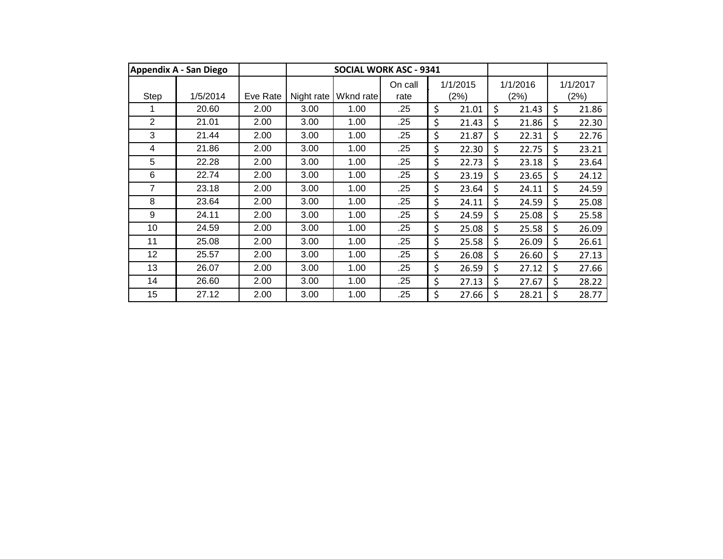|                | <b>Appendix A - San Diego</b> |          |            | <b>SOCIAL WORK ASC - 9341</b> |                 |                  |    |                  |                  |
|----------------|-------------------------------|----------|------------|-------------------------------|-----------------|------------------|----|------------------|------------------|
| Step           | 1/5/2014                      | Eve Rate | Night rate | Wknd rate                     | On call<br>rate | 1/1/2015<br>(2%) |    | 1/1/2016<br>(2%) | 1/1/2017<br>(2%) |
|                | 20.60                         | 2.00     | 3.00       | 1.00                          | .25             | \$<br>21.01      | Ś  | 21.43            | \$<br>21.86      |
| $\overline{2}$ | 21.01                         | 2.00     | 3.00       | 1.00                          | .25             | \$<br>21.43      | Ś  | 21.86            | \$<br>22.30      |
| 3              | 21.44                         | 2.00     | 3.00       | 1.00                          | .25             | \$<br>21.87      | \$ | 22.31            | \$<br>22.76      |
| 4              | 21.86                         | 2.00     | 3.00       | 1.00                          | .25             | \$<br>22.30      | \$ | 22.75            | \$<br>23.21      |
| 5              | 22.28                         | 2.00     | 3.00       | 1.00                          | .25             | \$<br>22.73      | \$ | 23.18            | \$<br>23.64      |
| 6              | 22.74                         | 2.00     | 3.00       | 1.00                          | .25             | \$<br>23.19      | \$ | 23.65            | \$<br>24.12      |
| $\overline{7}$ | 23.18                         | 2.00     | 3.00       | 1.00                          | .25             | \$<br>23.64      | \$ | 24.11            | \$<br>24.59      |
| 8              | 23.64                         | 2.00     | 3.00       | 1.00                          | .25             | \$<br>24.11      | \$ | 24.59            | \$<br>25.08      |
| 9              | 24.11                         | 2.00     | 3.00       | 1.00                          | .25             | \$<br>24.59      | \$ | 25.08            | \$<br>25.58      |
| 10             | 24.59                         | 2.00     | 3.00       | 1.00                          | .25             | \$<br>25.08      | \$ | 25.58            | \$<br>26.09      |
| 11             | 25.08                         | 2.00     | 3.00       | 1.00                          | .25             | \$<br>25.58      | \$ | 26.09            | \$<br>26.61      |
| 12             | 25.57                         | 2.00     | 3.00       | 1.00                          | .25             | \$<br>26.08      | \$ | 26.60            | \$<br>27.13      |
| 13             | 26.07                         | 2.00     | 3.00       | 1.00                          | .25             | \$<br>26.59      | \$ | 27.12            | \$<br>27.66      |
| 14             | 26.60                         | 2.00     | 3.00       | 1.00                          | .25             | \$<br>27.13      | \$ | 27.67            | \$<br>28.22      |
| 15             | 27.12                         | 2.00     | 3.00       | 1.00                          | .25             | \$<br>27.66      | \$ | 28.21            | \$<br>28.77      |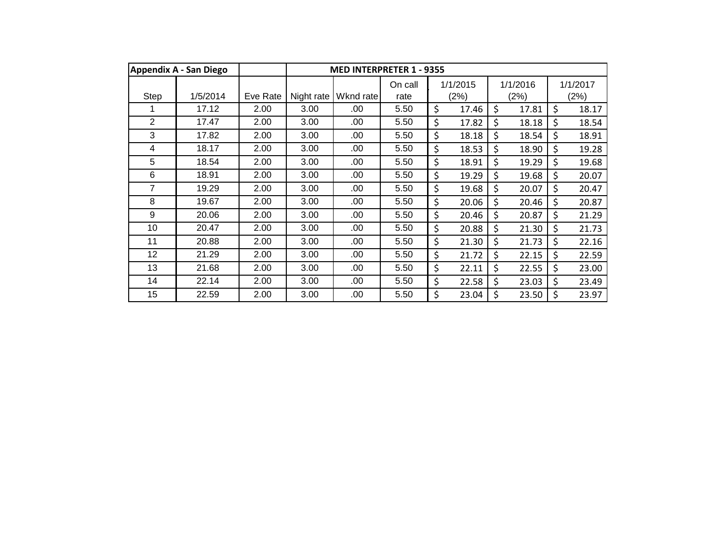|                | <b>Appendix A - San Diego</b> |          | <b>MED INTERPRETER 1 - 9355</b> |           |                 |    |                  |    |                  |         |                  |
|----------------|-------------------------------|----------|---------------------------------|-----------|-----------------|----|------------------|----|------------------|---------|------------------|
| Step           | 1/5/2014                      | Eve Rate | Night rate                      | Wknd rate | On call<br>rate |    | 1/1/2015<br>(2%) |    | 1/1/2016<br>(2%) |         | 1/1/2017<br>(2%) |
|                | 17.12                         | 2.00     | 3.00                            | .00       | 5.50            | \$ | 17.46            | \$ | 17.81            | $\zeta$ | 18.17            |
| $\overline{2}$ | 17.47                         | 2.00     | 3.00                            | .00       | 5.50            | \$ | 17.82            | Ś  | 18.18            | \$      | 18.54            |
| 3              | 17.82                         | 2.00     | 3.00                            | .00       | 5.50            | \$ | 18.18            | \$ | 18.54            | $\zeta$ | 18.91            |
| 4              | 18.17                         | 2.00     | 3.00                            | .00       | 5.50            | \$ | 18.53            | \$ | 18.90            | $\zeta$ | 19.28            |
| 5              | 18.54                         | 2.00     | 3.00                            | .00       | 5.50            | \$ | 18.91            | \$ | 19.29            | \$      | 19.68            |
| 6              | 18.91                         | 2.00     | 3.00                            | .00       | 5.50            | \$ | 19.29            | \$ | 19.68            | \$      | 20.07            |
| 7              | 19.29                         | 2.00     | 3.00                            | .00       | 5.50            | \$ | 19.68            | \$ | 20.07            | \$      | 20.47            |
| 8              | 19.67                         | 2.00     | 3.00                            | .00       | 5.50            | \$ | 20.06            | \$ | 20.46            | \$      | 20.87            |
| 9              | 20.06                         | 2.00     | 3.00                            | .00       | 5.50            | \$ | 20.46            | \$ | 20.87            | \$      | 21.29            |
| 10             | 20.47                         | 2.00     | 3.00                            | .00       | 5.50            | \$ | 20.88            | \$ | 21.30            | $\zeta$ | 21.73            |
| 11             | 20.88                         | 2.00     | 3.00                            | .00       | 5.50            | \$ | 21.30            | \$ | 21.73            | \$      | 22.16            |
| 12             | 21.29                         | 2.00     | 3.00                            | .00       | 5.50            | \$ | 21.72            | \$ | 22.15            | $\zeta$ | 22.59            |
| 13             | 21.68                         | 2.00     | 3.00                            | .00       | 5.50            | \$ | 22.11            | \$ | 22.55            | \$      | 23.00            |
| 14             | 22.14                         | 2.00     | 3.00                            | .00       | 5.50            | \$ | 22.58            | \$ | 23.03            | \$      | 23.49            |
| 15             | 22.59                         | 2.00     | 3.00                            | .00       | 5.50            | \$ | 23.04            | \$ | 23.50            | \$      | 23.97            |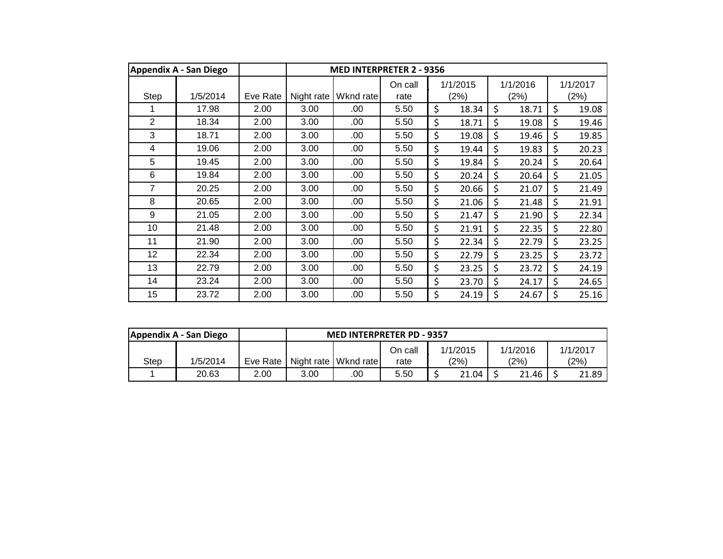|                | <b>Appendix A - San Diego</b> |          | <b>MED INTERPRETER 2 - 9356</b> |           |                 |    |                  |    |                  |    |                  |
|----------------|-------------------------------|----------|---------------------------------|-----------|-----------------|----|------------------|----|------------------|----|------------------|
| Step           | 1/5/2014                      | Eve Rate | Night rate                      | Wknd rate | On call<br>rate |    | 1/1/2015<br>(2%) |    | 1/1/2016<br>(2%) |    | 1/1/2017<br>(2%) |
|                | 17.98                         | 2.00     | 3.00                            | .00       | 5.50            | \$ | 18.34            | \$ | 18.71            | \$ | 19.08            |
| $\overline{2}$ | 18.34                         | 2.00     | 3.00                            | .00       | 5.50            | \$ | 18.71            | \$ | 19.08            | \$ | 19.46            |
| 3              | 18.71                         | 2.00     | 3.00                            | .00       | 5.50            | \$ | 19.08            | \$ | 19.46            | \$ | 19.85            |
| 4              | 19.06                         | 2.00     | 3.00                            | .00       | 5.50            | \$ | 19.44            | \$ | 19.83            | \$ | 20.23            |
| 5              | 19.45                         | 2.00     | 3.00                            | .00       | 5.50            | \$ | 19.84            | \$ | 20.24            | \$ | 20.64            |
| 6              | 19.84                         | 2.00     | 3.00                            | .00       | 5.50            | \$ | 20.24            | \$ | 20.64            | \$ | 21.05            |
| 7              | 20.25                         | 2.00     | 3.00                            | .00       | 5.50            | \$ | 20.66            | \$ | 21.07            | \$ | 21.49            |
| 8              | 20.65                         | 2.00     | 3.00                            | .00       | 5.50            | \$ | 21.06            | \$ | 21.48            | \$ | 21.91            |
| 9              | 21.05                         | 2.00     | 3.00                            | .00       | 5.50            | \$ | 21.47            | \$ | 21.90            | \$ | 22.34            |
| 10             | 21.48                         | 2.00     | 3.00                            | .00       | 5.50            | \$ | 21.91            | \$ | 22.35            | \$ | 22.80            |
| 11             | 21.90                         | 2.00     | 3.00                            | .00       | 5.50            | \$ | 22.34            | \$ | 22.79            | \$ | 23.25            |
| 12             | 22.34                         | 2.00     | 3.00                            | .00       | 5.50            | \$ | 22.79            | \$ | 23.25            | \$ | 23.72            |
| 13             | 22.79                         | 2.00     | 3.00                            | .00       | 5.50            | \$ | 23.25            | \$ | 23.72            | \$ | 24.19            |
| 14             | 23.24                         | 2.00     | 3.00                            | .00       | 5.50            | \$ | 23.70            | \$ | 24.17            | \$ | 24.65            |
| 15             | 23.72                         | 2.00     | 3.00                            | .00       | 5.50            | \$ | 24.19            | \$ | 24.67            | \$ | 25.16            |

|      | Appendix A - San Diego |          |      | <b>MED INTERPRETER PD - 9357</b>             |  |  |  |  |  |  |
|------|------------------------|----------|------|----------------------------------------------|--|--|--|--|--|--|
|      |                        |          |      | 1/1/2017<br>1/1/2016<br>1/1/2015<br>On call  |  |  |  |  |  |  |
| Step | 1/5/2014               | Eve Rate |      | Night rate Wknd rate<br>(2%)<br>(2%)<br>rate |  |  |  |  |  |  |
|      | 20.63                  | 2.00     | 3.00 | 5.50<br>.00<br>$21.46$ J<br>21.04<br>21.89   |  |  |  |  |  |  |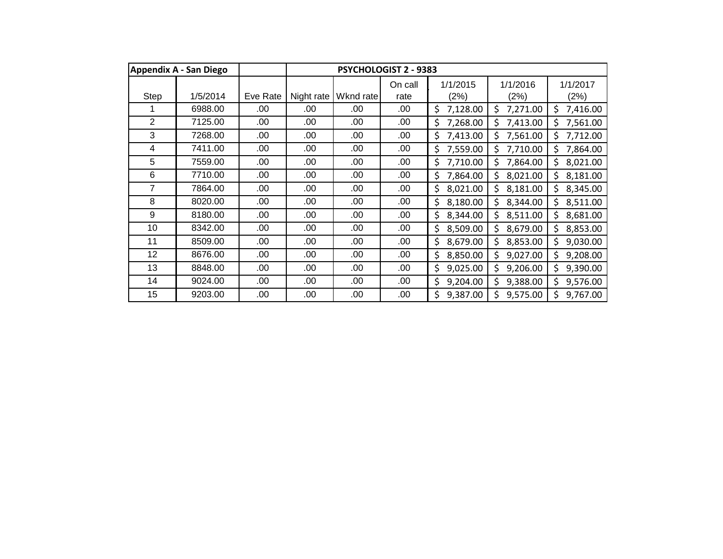|                | <b>Appendix A - San Diego</b> |          | <b>PSYCHOLOGIST 2 - 9383</b> |           |                 |                  |                  |                  |  |
|----------------|-------------------------------|----------|------------------------------|-----------|-----------------|------------------|------------------|------------------|--|
| Step           | 1/5/2014                      | Eve Rate | Night rate                   | Wknd rate | On call<br>rate | 1/1/2015<br>(2%) | 1/1/2016<br>(2%) | 1/1/2017<br>(2%) |  |
|                | 6988.00                       | .00      | .00                          | .00       | .00             | \$<br>7,128.00   | \$<br>7,271.00   | \$<br>7,416.00   |  |
| $\overline{2}$ | 7125.00                       | .00      | .00                          | .00       | .00             | \$<br>7,268.00   | Ś<br>7,413.00    | 7,561.00<br>Ś    |  |
| 3              | 7268.00                       | .00      | .00                          | .00       | .00             | \$<br>7,413.00   | Ś<br>7,561.00    | 7,712.00<br>\$.  |  |
| 4              | 7411.00                       | .00      | .00                          | .00       | .00             | \$<br>7,559.00   | Ś<br>7,710.00    | Ś.<br>7,864.00   |  |
| 5              | 7559.00                       | .00      | .00                          | .00       | .00             | \$<br>7,710.00   | Ś<br>7,864.00    | \$<br>8,021.00   |  |
| 6              | 7710.00                       | .00      | .00                          | .00       | .00             | \$<br>7,864.00   | \$<br>8,021.00   | \$.<br>8,181.00  |  |
| 7              | 7864.00                       | .00      | .00                          | .00.      | .00             | \$<br>8,021.00   | Ś<br>8,181.00    | 8,345.00<br>Ś    |  |
| 8              | 8020.00                       | .00      | .00                          | .00.      | .00             | \$<br>8,180.00   | \$<br>8,344.00   | 8,511.00<br>\$   |  |
| 9              | 8180.00                       | .00      | .00                          | .00.      | .00             | \$<br>8,344.00   | \$<br>8,511.00   | 8,681.00<br>\$   |  |
| 10             | 8342.00                       | .00      | .00                          | .00       | .00             | \$<br>8,509.00   | \$<br>8,679.00   | \$.<br>8,853.00  |  |
| 11             | 8509.00                       | .00      | .00                          | .00       | .00.            | \$<br>8,679.00   | \$<br>8,853.00   | Ś.<br>9,030.00   |  |
| 12             | 8676.00                       | .00      | .00                          | .00       | .00             | \$<br>8,850.00   | \$<br>9,027.00   | \$.<br>9,208.00  |  |
| 13             | 8848.00                       | .00      | .00                          | .00       | .00             | \$<br>9,025.00   | \$<br>9,206.00   | \$<br>9,390.00   |  |
| 14             | 9024.00                       | .00      | .00                          | .00       | .00             | \$<br>9,204.00   | \$<br>9,388.00   | Ś.<br>9,576.00   |  |
| 15             | 9203.00                       | .00      | .00                          | .00.      | .00             | \$<br>9,387.00   | 9,575.00<br>Ś    | 9,767.00         |  |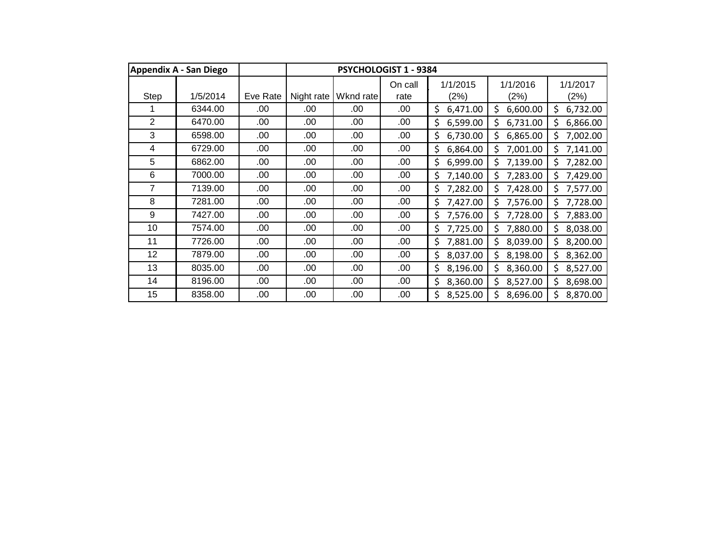|                | <b>Appendix A - San Diego</b> |          | PSYCHOLOGIST 1 - 9384 |           |                 |                  |                  |                  |  |
|----------------|-------------------------------|----------|-----------------------|-----------|-----------------|------------------|------------------|------------------|--|
| Step           | 1/5/2014                      | Eve Rate | Night rate            | Wknd rate | On call<br>rate | 1/1/2015<br>(2%) | 1/1/2016<br>(2%) | 1/1/2017<br>(2%) |  |
|                | 6344.00                       | .00      | .00                   | .00       | .00             | \$<br>6,471.00   | \$<br>6,600.00   | \$.<br>6,732.00  |  |
| $\overline{2}$ | 6470.00                       | .00      | .00                   | .00       | .00             | \$<br>6,599.00   | Ś<br>6,731.00    | 6,866.00<br>Ś.   |  |
| 3              | 6598.00                       | .00      | .00                   | .00       | .00             | \$<br>6,730.00   | Ś<br>6,865.00    | \$.<br>7,002.00  |  |
| 4              | 6729.00                       | .00      | .00                   | .00       | .00             | \$<br>6,864.00   | Ś<br>7,001.00    | Ś.<br>7,141.00   |  |
| 5              | 6862.00                       | .00      | .00                   | .00       | .00             | \$<br>6,999.00   | Ś<br>7,139.00    | \$.<br>7,282.00  |  |
| 6              | 7000.00                       | .00      | .00                   | .00       | .00             | \$<br>7,140.00   | \$<br>7,283.00   | \$<br>7,429.00   |  |
| 7              | 7139.00                       | .00      | .00                   | .00       | .00             | \$<br>7,282.00   | Ś<br>7,428.00    | 7,577.00<br>Ś.   |  |
| 8              | 7281.00                       | .00      | .00                   | .00.      | .00             | \$<br>7,427.00   | Ś<br>7,576.00    | 7,728.00<br>Ś.   |  |
| 9              | 7427.00                       | .00      | .00                   | .00.      | .00             | \$<br>7,576.00   | \$<br>7,728.00   | 7,883.00<br>\$   |  |
| 10             | 7574.00                       | .00      | .00                   | .00       | .00             | \$<br>7,725.00   | Ś<br>7,880.00    | 8,038.00<br>\$.  |  |
| 11             | 7726.00                       | .00      | .00                   | .00       | .00.            | 7,881.00<br>\$   | \$<br>8,039.00   | \$.<br>8,200.00  |  |
| 12             | 7879.00                       | .00      | .00                   | .00       | .00             | \$<br>8,037.00   | \$<br>8,198.00   | \$<br>8,362.00   |  |
| 13             | 8035.00                       | .00      | .00                   | .00       | .00             | \$<br>8,196.00   | \$<br>8,360.00   | \$<br>8,527.00   |  |
| 14             | 8196.00                       | .00      | .00                   | .00       | .00             | \$<br>8,360.00   | \$<br>8,527.00   | Ś.<br>8,698.00   |  |
| 15             | 8358.00                       | .00      | .00                   | .00.      | .00             | \$<br>8,525.00   | 8,696.00<br>Ś    | 8,870.00         |  |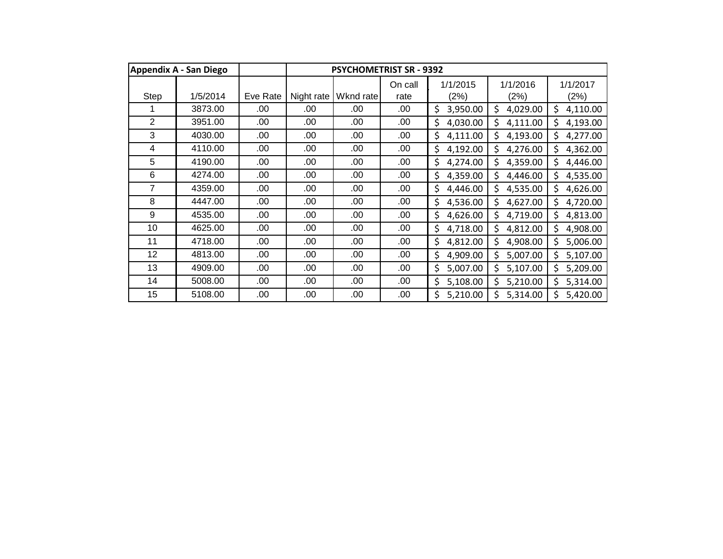|                | <b>Appendix A - San Diego</b> |          | <b>PSYCHOMETRIST SR - 9392</b> |           |                 |                  |                  |                  |  |
|----------------|-------------------------------|----------|--------------------------------|-----------|-----------------|------------------|------------------|------------------|--|
| Step           | 1/5/2014                      | Eve Rate | Night rate                     | Wknd rate | On call<br>rate | 1/1/2015<br>(2%) | 1/1/2016<br>(2%) | 1/1/2017<br>(2%) |  |
|                | 3873.00                       | .00      | .00                            | .00       | .00             | \$<br>3,950.00   | \$<br>4,029.00   | \$<br>4,110.00   |  |
| $\overline{2}$ | 3951.00                       | .00      | .00                            | .00       | .00             | \$<br>4,030.00   | \$<br>4,111.00   | 4,193.00<br>\$.  |  |
| 3              | 4030.00                       | .00      | .00                            | .00       | .00             | \$<br>4,111.00   | Ś<br>4,193.00    | \$<br>4,277.00   |  |
| 4              | 4110.00                       | .00      | .00                            | .00       | .00             | \$<br>4,192.00   | \$<br>4,276.00   | \$<br>4,362.00   |  |
| 5              | 4190.00                       | .00      | .00                            | .00       | .00             | \$<br>4,274.00   | Ś<br>4,359.00    | \$<br>4,446.00   |  |
| 6              | 4274.00                       | .00      | .00                            | .00       | .00             | \$<br>4,359.00   | \$<br>4,446.00   | \$<br>4,535.00   |  |
| 7              | 4359.00                       | .00      | .00                            | .00       | .00             | \$<br>4,446.00   | \$<br>4,535.00   | 4,626.00<br>\$   |  |
| 8              | 4447.00                       | .00      | .00                            | .00.      | .00             | \$<br>4,536.00   | \$<br>4,627.00   | 4,720.00<br>\$   |  |
| 9              | 4535.00                       | .00      | .00                            | .00.      | .00             | \$<br>4,626.00   | \$<br>4,719.00   | \$<br>4,813.00   |  |
| 10             | 4625.00                       | .00      | .00                            | .00       | .00             | \$<br>4,718.00   | \$<br>4,812.00   | 4,908.00<br>\$   |  |
| 11             | 4718.00                       | .00      | .00                            | .00       | .00.            | \$<br>4,812.00   | \$<br>4,908.00   | Ś.<br>5,006.00   |  |
| 12             | 4813.00                       | .00      | .00                            | .00       | .00             | \$<br>4,909.00   | \$<br>5,007.00   | \$.<br>5,107.00  |  |
| 13             | 4909.00                       | .00      | .00                            | .00       | .00             | \$<br>5,007.00   | \$<br>5,107.00   | \$<br>5,209.00   |  |
| 14             | 5008.00                       | .00      | .00                            | .00       | .00             | \$<br>5,108.00   | \$<br>5,210.00   | Ś.<br>5,314.00   |  |
| 15             | 5108.00                       | .00      | .00                            | .00       | .00             | \$<br>5,210.00   | Ś<br>5,314.00    | 5,420.00         |  |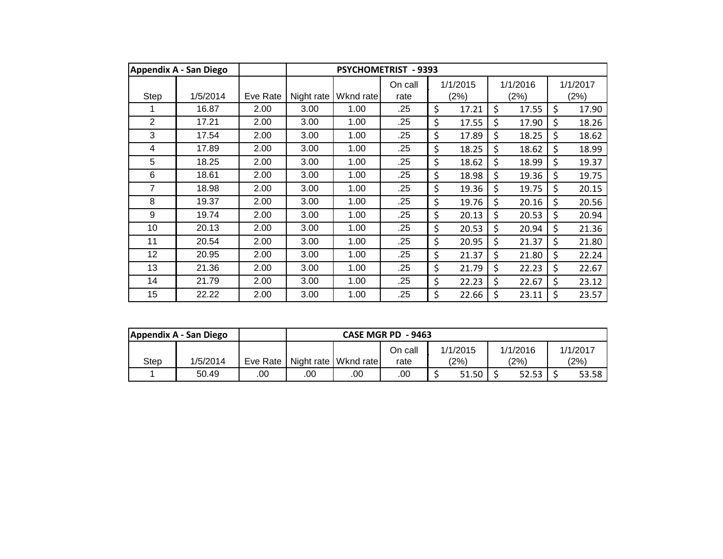|      | <b>Appendix A - San Diego</b> |          | <b>PSYCHOMETRIST - 9393</b> |           |                 |    |                  |    |                  |                  |       |
|------|-------------------------------|----------|-----------------------------|-----------|-----------------|----|------------------|----|------------------|------------------|-------|
| Step | 1/5/2014                      | Eve Rate | Night rate                  | Wknd rate | On call<br>rate |    | 1/1/2015<br>(2%) |    | 1/1/2016<br>(2%) | 1/1/2017<br>(2%) |       |
|      | 16.87                         | 2.00     | 3.00                        | 1.00      | .25             | \$ | 17.21            | \$ | 17.55            | \$               | 17.90 |
| 2    | 17.21                         | 2.00     | 3.00                        | 1.00      | .25             | \$ | 17.55            | \$ | 17.90            | \$               | 18.26 |
| 3    | 17.54                         | 2.00     | 3.00                        | 1.00      | .25             | \$ | 17.89            | \$ | 18.25            | \$               | 18.62 |
| 4    | 17.89                         | 2.00     | 3.00                        | 1.00      | .25             | \$ | 18.25            | \$ | 18.62            | \$               | 18.99 |
| 5    | 18.25                         | 2.00     | 3.00                        | 1.00      | .25             | \$ | 18.62            | \$ | 18.99            | \$               | 19.37 |
| 6    | 18.61                         | 2.00     | 3.00                        | 1.00      | .25             | \$ | 18.98            | \$ | 19.36            | \$               | 19.75 |
| 7    | 18.98                         | 2.00     | 3.00                        | 1.00      | .25             | \$ | 19.36            | \$ | 19.75            | \$               | 20.15 |
| 8    | 19.37                         | 2.00     | 3.00                        | 1.00      | .25             | \$ | 19.76            | \$ | 20.16            | \$               | 20.56 |
| 9    | 19.74                         | 2.00     | 3.00                        | 1.00      | .25             | \$ | 20.13            | \$ | 20.53            | \$               | 20.94 |
| 10   | 20.13                         | 2.00     | 3.00                        | 1.00      | .25             | \$ | 20.53            | \$ | 20.94            | \$               | 21.36 |
| 11   | 20.54                         | 2.00     | 3.00                        | 1.00      | .25             | \$ | 20.95            | \$ | 21.37            | \$               | 21.80 |
| 12   | 20.95                         | 2.00     | 3.00                        | 1.00      | .25             | \$ | 21.37            | \$ | 21.80            | \$               | 22.24 |
| 13   | 21.36                         | 2.00     | 3.00                        | 1.00      | .25             | \$ | 21.79            | \$ | 22.23            | \$               | 22.67 |
| 14   | 21.79                         | 2.00     | 3.00                        | 1.00      | .25             | \$ | 22.23            | \$ | 22.67            | \$               | 23.12 |
| 15   | 22.22                         | 2.00     | 3.00                        | 1.00      | .25             | \$ | 22.66            | \$ | 23.11            | \$               | 23.57 |

|      | Appendix A - San Diego |            |     | CASE MGR PD - 9463     |         |          |          |          |  |  |
|------|------------------------|------------|-----|------------------------|---------|----------|----------|----------|--|--|
|      |                        |            |     |                        | On call | 1/1/2015 | 1/1/2016 | 1/1/2017 |  |  |
| Step | 1/5/2014               | Eve Rate I |     | Night rate   Wknd rate | rate    | (2%)     | (2%)     | (2%)     |  |  |
|      | 50.49                  | .00        | .00 | .00                    | .00     | 51.50    | 52.53    | 53.58 l  |  |  |